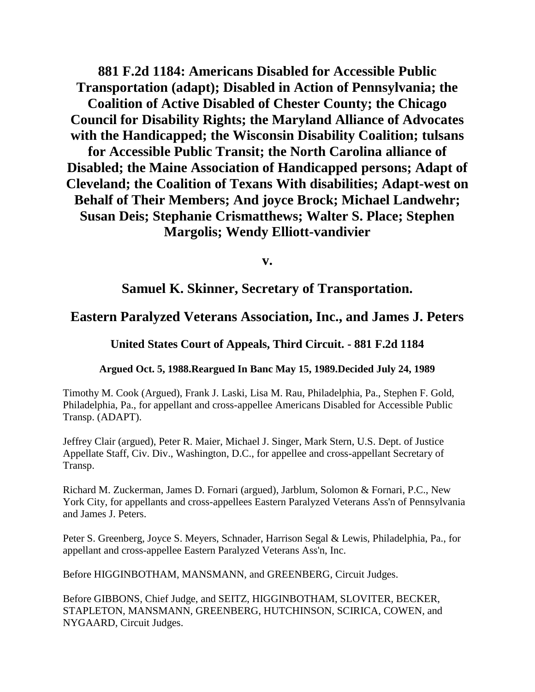**881 F.2d 1184: Americans Disabled for Accessible Public Transportation (adapt); Disabled in Action of Pennsylvania; the Coalition of Active Disabled of Chester County; the Chicago Council for Disability Rights; the Maryland Alliance of Advocates with the Handicapped; the Wisconsin Disability Coalition; tulsans for Accessible Public Transit; the North Carolina alliance of Disabled; the Maine Association of Handicapped persons; Adapt of Cleveland; the Coalition of Texans With disabilities; Adapt-west on Behalf of Their Members; And joyce Brock; Michael Landwehr; Susan Deis; Stephanie Crismatthews; Walter S. Place; Stephen Margolis; Wendy Elliott-vandivier**

**v.**

# **Samuel K. Skinner, Secretary of Transportation.**

# **Eastern Paralyzed Veterans Association, Inc., and James J. Peters**

**United States Court of Appeals, Third Circuit. - 881 F.2d 1184**

## **Argued Oct. 5, 1988.Reargued In Banc May 15, 1989.Decided July 24, 1989**

Timothy M. Cook (Argued), Frank J. Laski, Lisa M. Rau, Philadelphia, Pa., Stephen F. Gold, Philadelphia, Pa., for appellant and cross-appellee Americans Disabled for Accessible Public Transp. (ADAPT).

Jeffrey Clair (argued), Peter R. Maier, Michael J. Singer, Mark Stern, U.S. Dept. of Justice Appellate Staff, Civ. Div., Washington, D.C., for appellee and cross-appellant Secretary of Transp.

Richard M. Zuckerman, James D. Fornari (argued), Jarblum, Solomon & Fornari, P.C., New York City, for appellants and cross-appellees Eastern Paralyzed Veterans Ass'n of Pennsylvania and James J. Peters.

Peter S. Greenberg, Joyce S. Meyers, Schnader, Harrison Segal & Lewis, Philadelphia, Pa., for appellant and cross-appellee Eastern Paralyzed Veterans Ass'n, Inc.

Before HIGGINBOTHAM, MANSMANN, and GREENBERG, Circuit Judges.

Before GIBBONS, Chief Judge, and SEITZ, HIGGINBOTHAM, SLOVITER, BECKER, STAPLETON, MANSMANN, GREENBERG, HUTCHINSON, SCIRICA, COWEN, and NYGAARD, Circuit Judges.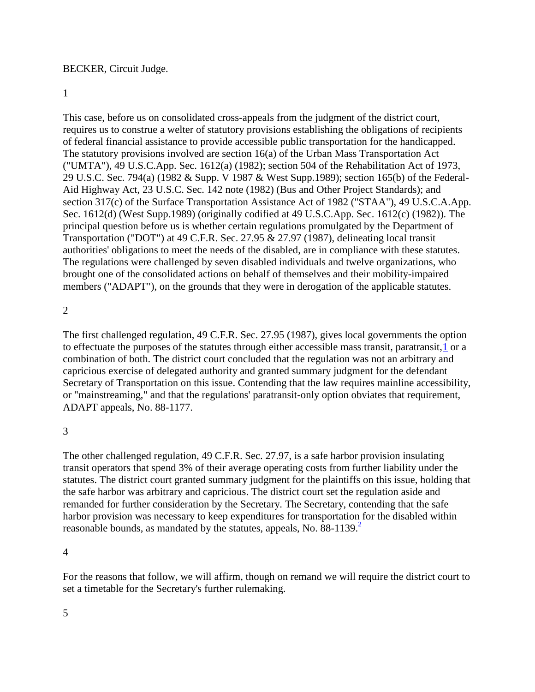#### BECKER, Circuit Judge.

#### 1

This case, before us on consolidated cross-appeals from the judgment of the district court, requires us to construe a welter of statutory provisions establishing the obligations of recipients of federal financial assistance to provide accessible public transportation for the handicapped. The statutory provisions involved are section 16(a) of the Urban Mass Transportation Act ("UMTA"), 49 U.S.C.App. Sec. 1612(a) (1982); section 504 of the Rehabilitation Act of 1973, 29 U.S.C. Sec. 794(a) (1982 & Supp. V 1987 & West Supp.1989); section 165(b) of the Federal-Aid Highway Act, 23 U.S.C. Sec. 142 note (1982) (Bus and Other Project Standards); and section 317(c) of the Surface Transportation Assistance Act of 1982 ("STAA"), 49 U.S.C.A.App. Sec. 1612(d) (West Supp.1989) (originally codified at 49 U.S.C.App. Sec. 1612(c) (1982)). The principal question before us is whether certain regulations promulgated by the Department of Transportation ("DOT") at 49 C.F.R. Sec. 27.95 & 27.97 (1987), delineating local transit authorities' obligations to meet the needs of the disabled, are in compliance with these statutes. The regulations were challenged by seven disabled individuals and twelve organizations, who brought one of the consolidated actions on behalf of themselves and their mobility-impaired members ("ADAPT"), on the grounds that they were in derogation of the applicable statutes.

#### 2

The first challenged regulation, 49 C.F.R. Sec. 27.95 (1987), gives local governments the option to effectuate the purposes of the statutes through either accessible mass transit, paratransit[,1](http://law.justia.com/cases/federal/appellate-courts/F2/881/1184/93966/#fn1-1) or a combination of both. The district court concluded that the regulation was not an arbitrary and capricious exercise of delegated authority and granted summary judgment for the defendant Secretary of Transportation on this issue. Contending that the law requires mainline accessibility, or "mainstreaming," and that the regulations' paratransit-only option obviates that requirement, ADAPT appeals, No. 88-1177.

#### 3

The other challenged regulation, 49 C.F.R. Sec. 27.97, is a safe harbor provision insulating transit operators that spend 3% of their average operating costs from further liability under the statutes. The district court granted summary judgment for the plaintiffs on this issue, holding that the safe harbor was arbitrary and capricious. The district court set the regulation aside and remanded for further consideration by the Secretary. The Secretary, contending that the safe harbor provision was necessary to keep expenditures for transportation for the disabled within reasonable bounds, as mandated by the statutes, appeals, No. 88-1139.<sup>[2](http://law.justia.com/cases/federal/appellate-courts/F2/881/1184/93966/#fn2)</sup>

4

For the reasons that follow, we will affirm, though on remand we will require the district court to set a timetable for the Secretary's further rulemaking.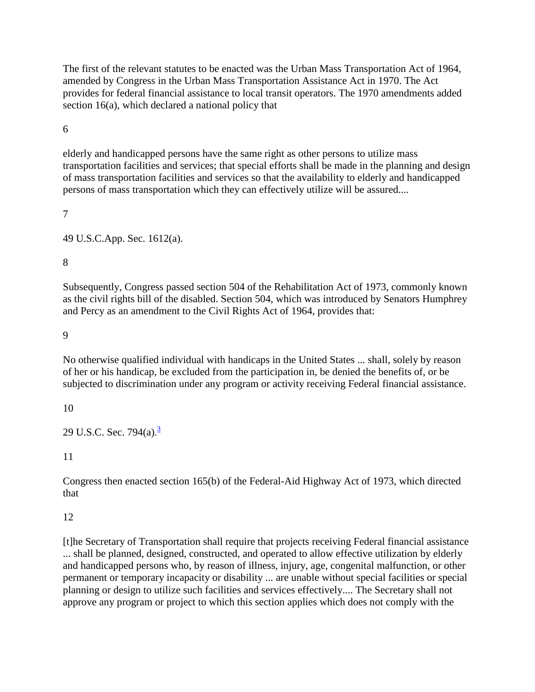The first of the relevant statutes to be enacted was the Urban Mass Transportation Act of 1964, amended by Congress in the Urban Mass Transportation Assistance Act in 1970. The Act provides for federal financial assistance to local transit operators. The 1970 amendments added section 16(a), which declared a national policy that

6

elderly and handicapped persons have the same right as other persons to utilize mass transportation facilities and services; that special efforts shall be made in the planning and design of mass transportation facilities and services so that the availability to elderly and handicapped persons of mass transportation which they can effectively utilize will be assured....

7

49 U.S.C.App. Sec. 1612(a).

8

Subsequently, Congress passed section 504 of the Rehabilitation Act of 1973, commonly known as the civil rights bill of the disabled. Section 504, which was introduced by Senators Humphrey and Percy as an amendment to the Civil Rights Act of 1964, provides that:

9

No otherwise qualified individual with handicaps in the United States ... shall, solely by reason of her or his handicap, be excluded from the participation in, be denied the benefits of, or be subjected to discrimination under any program or activity receiving Federal financial assistance.

10

29 U.S.C. Sec. 794(a). $^3$  $^3$ 

11

Congress then enacted section 165(b) of the Federal-Aid Highway Act of 1973, which directed that

12

[t]he Secretary of Transportation shall require that projects receiving Federal financial assistance ... shall be planned, designed, constructed, and operated to allow effective utilization by elderly and handicapped persons who, by reason of illness, injury, age, congenital malfunction, or other permanent or temporary incapacity or disability ... are unable without special facilities or special planning or design to utilize such facilities and services effectively.... The Secretary shall not approve any program or project to which this section applies which does not comply with the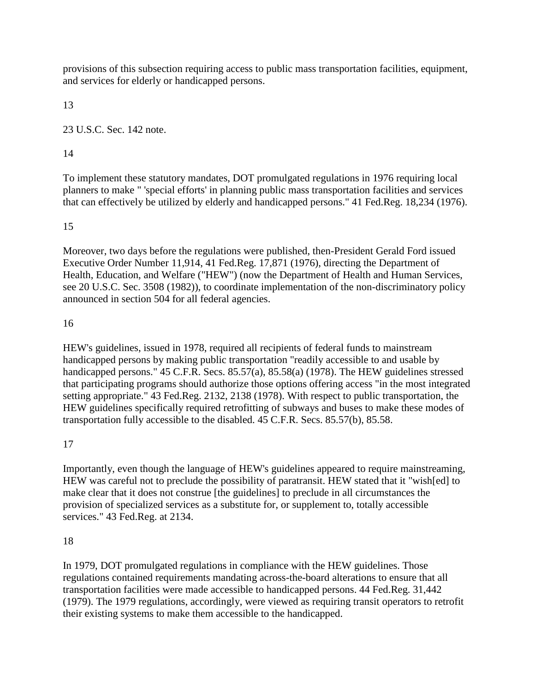provisions of this subsection requiring access to public mass transportation facilities, equipment, and services for elderly or handicapped persons.

13

23 U.S.C. Sec. 142 note.

#### 14

To implement these statutory mandates, DOT promulgated regulations in 1976 requiring local planners to make " 'special efforts' in planning public mass transportation facilities and services that can effectively be utilized by elderly and handicapped persons." 41 Fed.Reg. 18,234 (1976).

## 15

Moreover, two days before the regulations were published, then-President Gerald Ford issued Executive Order Number 11,914, 41 Fed.Reg. 17,871 (1976), directing the Department of Health, Education, and Welfare ("HEW") (now the Department of Health and Human Services, see 20 U.S.C. Sec. 3508 (1982)), to coordinate implementation of the non-discriminatory policy announced in section 504 for all federal agencies.

#### 16

HEW's guidelines, issued in 1978, required all recipients of federal funds to mainstream handicapped persons by making public transportation "readily accessible to and usable by handicapped persons." 45 C.F.R. Secs. 85.57(a), 85.58(a) (1978). The HEW guidelines stressed that participating programs should authorize those options offering access "in the most integrated setting appropriate." 43 Fed.Reg. 2132, 2138 (1978). With respect to public transportation, the HEW guidelines specifically required retrofitting of subways and buses to make these modes of transportation fully accessible to the disabled. 45 C.F.R. Secs. 85.57(b), 85.58.

## 17

Importantly, even though the language of HEW's guidelines appeared to require mainstreaming, HEW was careful not to preclude the possibility of paratransit. HEW stated that it "wish[ed] to make clear that it does not construe [the guidelines] to preclude in all circumstances the provision of specialized services as a substitute for, or supplement to, totally accessible services." 43 Fed.Reg. at 2134.

## 18

In 1979, DOT promulgated regulations in compliance with the HEW guidelines. Those regulations contained requirements mandating across-the-board alterations to ensure that all transportation facilities were made accessible to handicapped persons. 44 Fed.Reg. 31,442 (1979). The 1979 regulations, accordingly, were viewed as requiring transit operators to retrofit their existing systems to make them accessible to the handicapped.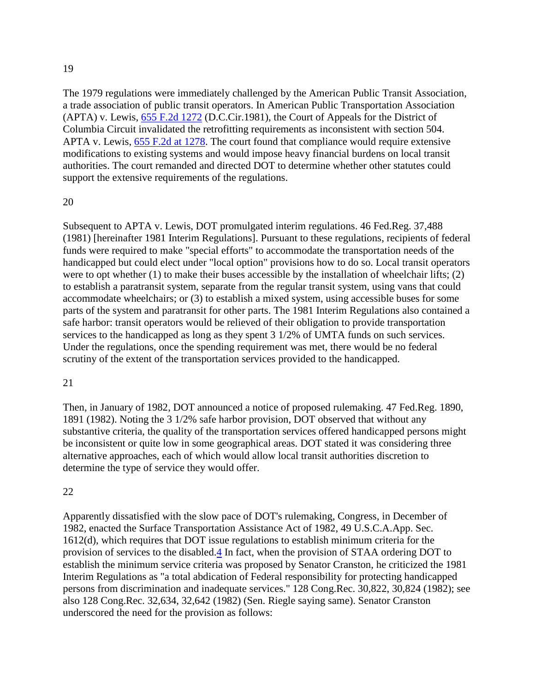The 1979 regulations were immediately challenged by the American Public Transit Association, a trade association of public transit operators. In American Public Transportation Association (APTA) v. Lewis, [655 F.2d 1272](http://law.justia.com/cases/federal/appellate-courts/F2/655/1272/) (D.C.Cir.1981), the Court of Appeals for the District of Columbia Circuit invalidated the retrofitting requirements as inconsistent with section 504. APTA v. Lewis, [655 F.2d at 1278.](http://law.justia.com/cases/federal/appellate-courts/F2/655/1278/) The court found that compliance would require extensive modifications to existing systems and would impose heavy financial burdens on local transit authorities. The court remanded and directed DOT to determine whether other statutes could support the extensive requirements of the regulations.

#### 20

Subsequent to APTA v. Lewis, DOT promulgated interim regulations. 46 Fed.Reg. 37,488 (1981) [hereinafter 1981 Interim Regulations]. Pursuant to these regulations, recipients of federal funds were required to make "special efforts" to accommodate the transportation needs of the handicapped but could elect under "local option" provisions how to do so. Local transit operators were to opt whether (1) to make their buses accessible by the installation of wheelchair lifts; (2) to establish a paratransit system, separate from the regular transit system, using vans that could accommodate wheelchairs; or (3) to establish a mixed system, using accessible buses for some parts of the system and paratransit for other parts. The 1981 Interim Regulations also contained a safe harbor: transit operators would be relieved of their obligation to provide transportation services to the handicapped as long as they spent 3 1/2% of UMTA funds on such services. Under the regulations, once the spending requirement was met, there would be no federal scrutiny of the extent of the transportation services provided to the handicapped.

#### 21

Then, in January of 1982, DOT announced a notice of proposed rulemaking. 47 Fed.Reg. 1890, 1891 (1982). Noting the 3 1/2% safe harbor provision, DOT observed that without any substantive criteria, the quality of the transportation services offered handicapped persons might be inconsistent or quite low in some geographical areas. DOT stated it was considering three alternative approaches, each of which would allow local transit authorities discretion to determine the type of service they would offer.

#### 22

Apparently dissatisfied with the slow pace of DOT's rulemaking, Congress, in December of 1982, enacted the Surface Transportation Assistance Act of 1982, 49 U.S.C.A.App. Sec. 1612(d), which requires that DOT issue regulations to establish minimum criteria for the provision of services to the disabled[.4](http://law.justia.com/cases/federal/appellate-courts/F2/881/1184/93966/#fn4-1) In fact, when the provision of STAA ordering DOT to establish the minimum service criteria was proposed by Senator Cranston, he criticized the 1981 Interim Regulations as "a total abdication of Federal responsibility for protecting handicapped persons from discrimination and inadequate services." 128 Cong.Rec. 30,822, 30,824 (1982); see also 128 Cong.Rec. 32,634, 32,642 (1982) (Sen. Riegle saying same). Senator Cranston underscored the need for the provision as follows: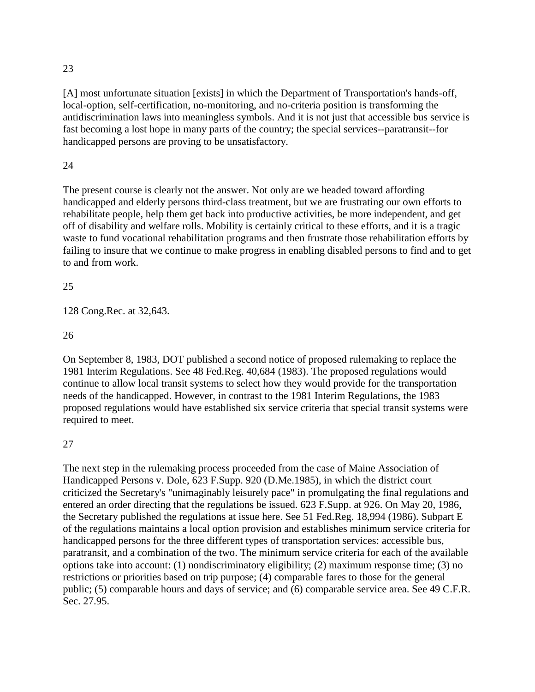[A] most unfortunate situation [exists] in which the Department of Transportation's hands-off, local-option, self-certification, no-monitoring, and no-criteria position is transforming the antidiscrimination laws into meaningless symbols. And it is not just that accessible bus service is fast becoming a lost hope in many parts of the country; the special services--paratransit--for handicapped persons are proving to be unsatisfactory.

## 24

The present course is clearly not the answer. Not only are we headed toward affording handicapped and elderly persons third-class treatment, but we are frustrating our own efforts to rehabilitate people, help them get back into productive activities, be more independent, and get off of disability and welfare rolls. Mobility is certainly critical to these efforts, and it is a tragic waste to fund vocational rehabilitation programs and then frustrate those rehabilitation efforts by failing to insure that we continue to make progress in enabling disabled persons to find and to get to and from work.

#### 25

128 Cong.Rec. at 32,643.

#### 26

On September 8, 1983, DOT published a second notice of proposed rulemaking to replace the 1981 Interim Regulations. See 48 Fed.Reg. 40,684 (1983). The proposed regulations would continue to allow local transit systems to select how they would provide for the transportation needs of the handicapped. However, in contrast to the 1981 Interim Regulations, the 1983 proposed regulations would have established six service criteria that special transit systems were required to meet.

## 27

The next step in the rulemaking process proceeded from the case of Maine Association of Handicapped Persons v. Dole, 623 F.Supp. 920 (D.Me.1985), in which the district court criticized the Secretary's "unimaginably leisurely pace" in promulgating the final regulations and entered an order directing that the regulations be issued. 623 F.Supp. at 926. On May 20, 1986, the Secretary published the regulations at issue here. See 51 Fed.Reg. 18,994 (1986). Subpart E of the regulations maintains a local option provision and establishes minimum service criteria for handicapped persons for the three different types of transportation services: accessible bus, paratransit, and a combination of the two. The minimum service criteria for each of the available options take into account: (1) nondiscriminatory eligibility; (2) maximum response time; (3) no restrictions or priorities based on trip purpose; (4) comparable fares to those for the general public; (5) comparable hours and days of service; and (6) comparable service area. See 49 C.F.R. Sec. 27.95.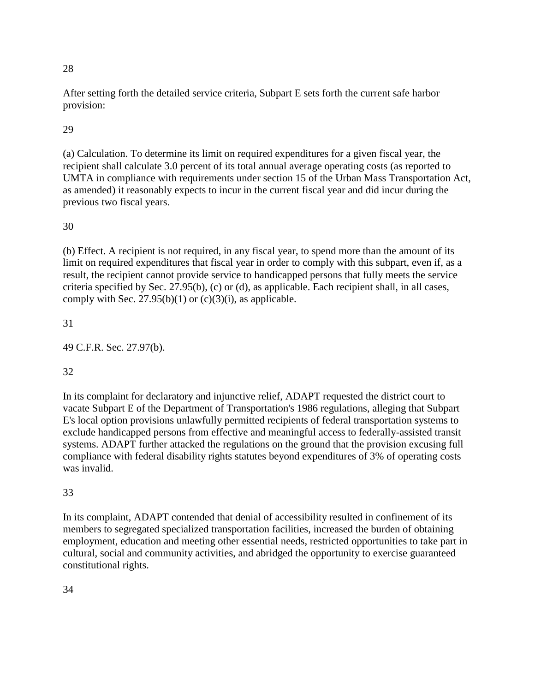After setting forth the detailed service criteria, Subpart E sets forth the current safe harbor provision:

# 29

(a) Calculation. To determine its limit on required expenditures for a given fiscal year, the recipient shall calculate 3.0 percent of its total annual average operating costs (as reported to UMTA in compliance with requirements under section 15 of the Urban Mass Transportation Act, as amended) it reasonably expects to incur in the current fiscal year and did incur during the previous two fiscal years.

# 30

(b) Effect. A recipient is not required, in any fiscal year, to spend more than the amount of its limit on required expenditures that fiscal year in order to comply with this subpart, even if, as a result, the recipient cannot provide service to handicapped persons that fully meets the service criteria specified by Sec. 27.95(b), (c) or (d), as applicable. Each recipient shall, in all cases, comply with Sec.  $27.95(b)(1)$  or  $(c)(3)(i)$ , as applicable.

# 31

49 C.F.R. Sec. 27.97(b).

# 32

In its complaint for declaratory and injunctive relief, ADAPT requested the district court to vacate Subpart E of the Department of Transportation's 1986 regulations, alleging that Subpart E's local option provisions unlawfully permitted recipients of federal transportation systems to exclude handicapped persons from effective and meaningful access to federally-assisted transit systems. ADAPT further attacked the regulations on the ground that the provision excusing full compliance with federal disability rights statutes beyond expenditures of 3% of operating costs was invalid.

# 33

In its complaint, ADAPT contended that denial of accessibility resulted in confinement of its members to segregated specialized transportation facilities, increased the burden of obtaining employment, education and meeting other essential needs, restricted opportunities to take part in cultural, social and community activities, and abridged the opportunity to exercise guaranteed constitutional rights.

34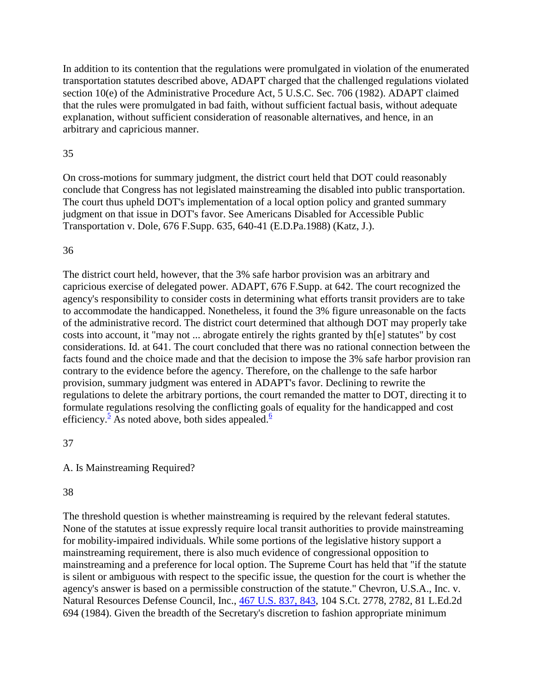In addition to its contention that the regulations were promulgated in violation of the enumerated transportation statutes described above, ADAPT charged that the challenged regulations violated section 10(e) of the Administrative Procedure Act, 5 U.S.C. Sec. 706 (1982). ADAPT claimed that the rules were promulgated in bad faith, without sufficient factual basis, without adequate explanation, without sufficient consideration of reasonable alternatives, and hence, in an arbitrary and capricious manner.

#### 35

On cross-motions for summary judgment, the district court held that DOT could reasonably conclude that Congress has not legislated mainstreaming the disabled into public transportation. The court thus upheld DOT's implementation of a local option policy and granted summary judgment on that issue in DOT's favor. See Americans Disabled for Accessible Public Transportation v. Dole, 676 F.Supp. 635, 640-41 (E.D.Pa.1988) (Katz, J.).

## 36

The district court held, however, that the 3% safe harbor provision was an arbitrary and capricious exercise of delegated power. ADAPT, 676 F.Supp. at 642. The court recognized the agency's responsibility to consider costs in determining what efforts transit providers are to take to accommodate the handicapped. Nonetheless, it found the 3% figure unreasonable on the facts of the administrative record. The district court determined that although DOT may properly take costs into account, it "may not ... abrogate entirely the rights granted by th[e] statutes" by cost considerations. Id. at 641. The court concluded that there was no rational connection between the facts found and the choice made and that the decision to impose the 3% safe harbor provision ran contrary to the evidence before the agency. Therefore, on the challenge to the safe harbor provision, summary judgment was entered in ADAPT's favor. Declining to rewrite the regulations to delete the arbitrary portions, the court remanded the matter to DOT, directing it to formulate regulations resolving the conflicting goals of equality for the handicapped and cost efficiency.<sup>[5](http://law.justia.com/cases/federal/appellate-courts/F2/881/1184/93966/#fn5)</sup> As noted above, both sides appealed[.](http://law.justia.com/cases/federal/appellate-courts/F2/881/1184/93966/#fn6)<sup>6</sup>

## 37

A. Is Mainstreaming Required?

# 38

The threshold question is whether mainstreaming is required by the relevant federal statutes. None of the statutes at issue expressly require local transit authorities to provide mainstreaming for mobility-impaired individuals. While some portions of the legislative history support a mainstreaming requirement, there is also much evidence of congressional opposition to mainstreaming and a preference for local option. The Supreme Court has held that "if the statute is silent or ambiguous with respect to the specific issue, the question for the court is whether the agency's answer is based on a permissible construction of the statute." Chevron, U.S.A., Inc. v. Natural Resources Defense Council, Inc., [467 U.S. 837, 843,](http://supreme.justia.com/us/467/837/case.html#843) 104 S.Ct. 2778, 2782, 81 L.Ed.2d 694 (1984). Given the breadth of the Secretary's discretion to fashion appropriate minimum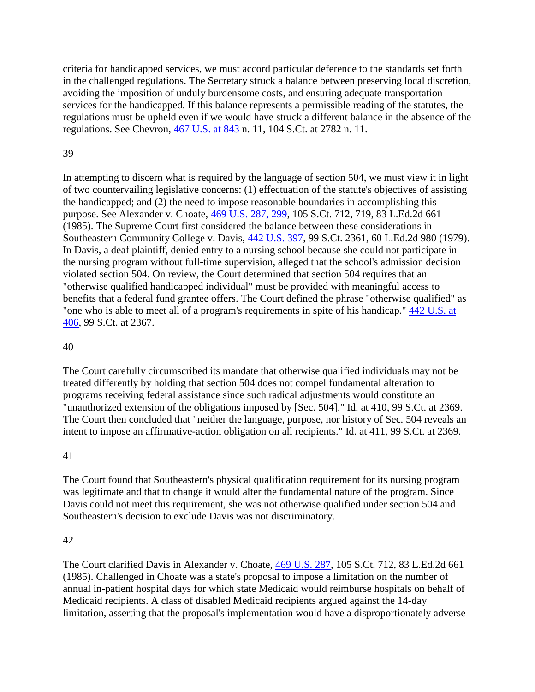criteria for handicapped services, we must accord particular deference to the standards set forth in the challenged regulations. The Secretary struck a balance between preserving local discretion, avoiding the imposition of unduly burdensome costs, and ensuring adequate transportation services for the handicapped. If this balance represents a permissible reading of the statutes, the regulations must be upheld even if we would have struck a different balance in the absence of the regulations. See Chevron, [467 U.S. at 843](http://supreme.justia.com/us/467/843/) n. 11, 104 S.Ct. at 2782 n. 11.

#### 39

In attempting to discern what is required by the language of section 504, we must view it in light of two countervailing legislative concerns: (1) effectuation of the statute's objectives of assisting the handicapped; and (2) the need to impose reasonable boundaries in accomplishing this purpose. See Alexander v. Choate, [469 U.S. 287, 299,](http://supreme.justia.com/us/469/287/case.html#299) 105 S.Ct. 712, 719, 83 L.Ed.2d 661 (1985). The Supreme Court first considered the balance between these considerations in Southeastern Community College v. Davis, [442 U.S. 397,](http://supreme.justia.com/us/442/397/) 99 S.Ct. 2361, 60 L.Ed.2d 980 (1979). In Davis, a deaf plaintiff, denied entry to a nursing school because she could not participate in the nursing program without full-time supervision, alleged that the school's admission decision violated section 504. On review, the Court determined that section 504 requires that an "otherwise qualified handicapped individual" must be provided with meaningful access to benefits that a federal fund grantee offers. The Court defined the phrase "otherwise qualified" as "one who is able to meet all of a program's requirements in spite of his handicap." [442 U.S. at](http://supreme.justia.com/us/442/406/)  [406,](http://supreme.justia.com/us/442/406/) 99 S.Ct. at 2367.

### 40

The Court carefully circumscribed its mandate that otherwise qualified individuals may not be treated differently by holding that section 504 does not compel fundamental alteration to programs receiving federal assistance since such radical adjustments would constitute an "unauthorized extension of the obligations imposed by [Sec. 504]." Id. at 410, 99 S.Ct. at 2369. The Court then concluded that "neither the language, purpose, nor history of Sec. 504 reveals an intent to impose an affirmative-action obligation on all recipients." Id. at 411, 99 S.Ct. at 2369.

#### 41

The Court found that Southeastern's physical qualification requirement for its nursing program was legitimate and that to change it would alter the fundamental nature of the program. Since Davis could not meet this requirement, she was not otherwise qualified under section 504 and Southeastern's decision to exclude Davis was not discriminatory.

#### 42

The Court clarified Davis in Alexander v. Choate, [469 U.S. 287,](http://supreme.justia.com/us/469/287/) 105 S.Ct. 712, 83 L.Ed.2d 661 (1985). Challenged in Choate was a state's proposal to impose a limitation on the number of annual in-patient hospital days for which state Medicaid would reimburse hospitals on behalf of Medicaid recipients. A class of disabled Medicaid recipients argued against the 14-day limitation, asserting that the proposal's implementation would have a disproportionately adverse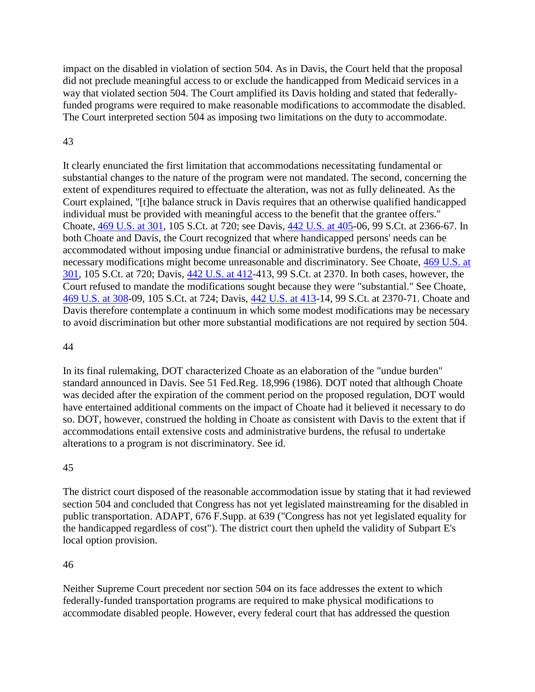impact on the disabled in violation of section 504. As in Davis, the Court held that the proposal did not preclude meaningful access to or exclude the handicapped from Medicaid services in a way that violated section 504. The Court amplified its Davis holding and stated that federallyfunded programs were required to make reasonable modifications to accommodate the disabled. The Court interpreted section 504 as imposing two limitations on the duty to accommodate.

#### 43

It clearly enunciated the first limitation that accommodations necessitating fundamental or substantial changes to the nature of the program were not mandated. The second, concerning the extent of expenditures required to effectuate the alteration, was not as fully delineated. As the Court explained, "[t]he balance struck in Davis requires that an otherwise qualified handicapped individual must be provided with meaningful access to the benefit that the grantee offers." Choate, [469 U.S. at 301,](http://supreme.justia.com/us/469/301/) 105 S.Ct. at 720; see Davis, [442 U.S. at 405-](http://supreme.justia.com/us/442/405/)06, 99 S.Ct. at 2366-67. In both Choate and Davis, the Court recognized that where handicapped persons' needs can be accommodated without imposing undue financial or administrative burdens, the refusal to make necessary modifications might become unreasonable and discriminatory. See Choate, [469 U.S. at](http://supreme.justia.com/us/469/301/)  [301,](http://supreme.justia.com/us/469/301/) 105 S.Ct. at 720; Davis, [442 U.S. at 412-](http://supreme.justia.com/us/442/412/)413, 99 S.Ct. at 2370. In both cases, however, the Court refused to mandate the modifications sought because they were "substantial." See Choate, [469 U.S. at 308-](http://supreme.justia.com/us/469/308/)09, 105 S.Ct. at 724; Davis, [442 U.S. at 413-](http://supreme.justia.com/us/442/413/)14, 99 S.Ct. at 2370-71. Choate and Davis therefore contemplate a continuum in which some modest modifications may be necessary to avoid discrimination but other more substantial modifications are not required by section 504.

#### 44

In its final rulemaking, DOT characterized Choate as an elaboration of the "undue burden" standard announced in Davis. See 51 Fed.Reg. 18,996 (1986). DOT noted that although Choate was decided after the expiration of the comment period on the proposed regulation, DOT would have entertained additional comments on the impact of Choate had it believed it necessary to do so. DOT, however, construed the holding in Choate as consistent with Davis to the extent that if accommodations entail extensive costs and administrative burdens, the refusal to undertake alterations to a program is not discriminatory. See id.

#### 45

The district court disposed of the reasonable accommodation issue by stating that it had reviewed section 504 and concluded that Congress has not yet legislated mainstreaming for the disabled in public transportation. ADAPT, 676 F.Supp. at 639 ("Congress has not yet legislated equality for the handicapped regardless of cost"). The district court then upheld the validity of Subpart E's local option provision.

#### 46

Neither Supreme Court precedent nor section 504 on its face addresses the extent to which federally-funded transportation programs are required to make physical modifications to accommodate disabled people. However, every federal court that has addressed the question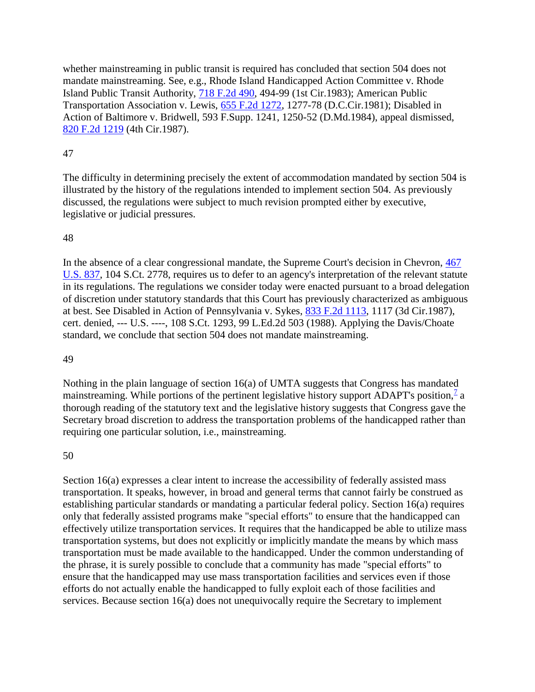whether mainstreaming in public transit is required has concluded that section 504 does not mandate mainstreaming. See, e.g., Rhode Island Handicapped Action Committee v. Rhode Island Public Transit Authority, [718 F.2d 490,](http://law.justia.com/cases/federal/appellate-courts/F2/718/490/) 494-99 (1st Cir.1983); American Public Transportation Association v. Lewis, [655 F.2d 1272,](http://law.justia.com/cases/federal/appellate-courts/F2/655/1272/) 1277-78 (D.C.Cir.1981); Disabled in Action of Baltimore v. Bridwell, 593 F.Supp. 1241, 1250-52 (D.Md.1984), appeal dismissed, [820 F.2d 1219](http://law.justia.com/cases/federal/appellate-courts/F2/820/1219/) (4th Cir.1987).

### 47

The difficulty in determining precisely the extent of accommodation mandated by section 504 is illustrated by the history of the regulations intended to implement section 504. As previously discussed, the regulations were subject to much revision prompted either by executive, legislative or judicial pressures.

#### 48

In the absence of a clear congressional mandate, the Supreme Court's decision in Chevron, [467](http://supreme.justia.com/us/467/837/)  [U.S.](http://supreme.justia.com/us/467/837/) 837, 104 S.Ct. 2778, requires us to defer to an agency's interpretation of the relevant statute in its regulations. The regulations we consider today were enacted pursuant to a broad delegation of discretion under statutory standards that this Court has previously characterized as ambiguous at best. See Disabled in Action of Pennsylvania v. Sykes, [833 F.2d 1113,](http://law.justia.com/cases/federal/appellate-courts/F2/833/1113/) 1117 (3d Cir.1987), cert. denied, --- U.S. ----, 108 S.Ct. 1293, 99 L.Ed.2d 503 (1988). Applying the Davis/Choate standard, we conclude that section 504 does not mandate mainstreaming.

#### 49

Nothing in the plain language of section 16(a) of UMTA suggests that Congress has mandated mainstreaming. While portions of the pertinent legislative history support ADAPT's position[,](http://law.justia.com/cases/federal/appellate-courts/F2/881/1184/93966/#fn7) $\frac{7}{1}$  a thorough reading of the statutory text and the legislative history suggests that Congress gave the Secretary broad discretion to address the transportation problems of the handicapped rather than requiring one particular solution, i.e., mainstreaming.

#### 50

Section 16(a) expresses a clear intent to increase the accessibility of federally assisted mass transportation. It speaks, however, in broad and general terms that cannot fairly be construed as establishing particular standards or mandating a particular federal policy. Section 16(a) requires only that federally assisted programs make "special efforts" to ensure that the handicapped can effectively utilize transportation services. It requires that the handicapped be able to utilize mass transportation systems, but does not explicitly or implicitly mandate the means by which mass transportation must be made available to the handicapped. Under the common understanding of the phrase, it is surely possible to conclude that a community has made "special efforts" to ensure that the handicapped may use mass transportation facilities and services even if those efforts do not actually enable the handicapped to fully exploit each of those facilities and services. Because section 16(a) does not unequivocally require the Secretary to implement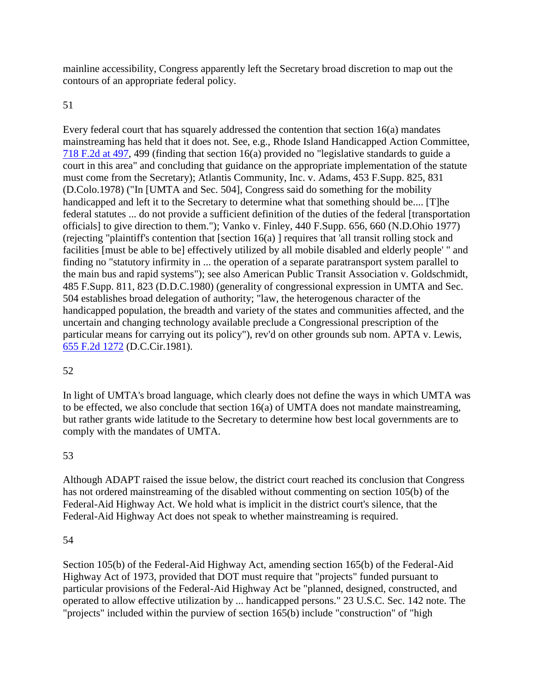mainline accessibility, Congress apparently left the Secretary broad discretion to map out the contours of an appropriate federal policy.

#### 51

Every federal court that has squarely addressed the contention that section 16(a) mandates mainstreaming has held that it does not. See, e.g., Rhode Island Handicapped Action Committee, [718 F.2d at 497,](http://law.justia.com/cases/federal/appellate-courts/F2/718/497/) 499 (finding that section 16(a) provided no "legislative standards to guide a court in this area" and concluding that guidance on the appropriate implementation of the statute must come from the Secretary); Atlantis Community, Inc. v. Adams, 453 F.Supp. 825, 831 (D.Colo.1978) ("In [UMTA and Sec. 504], Congress said do something for the mobility handicapped and left it to the Secretary to determine what that something should be.... [T]he federal statutes ... do not provide a sufficient definition of the duties of the federal [transportation officials] to give direction to them."); Vanko v. Finley, 440 F.Supp. 656, 660 (N.D.Ohio 1977) (rejecting "plaintiff's contention that [section 16(a) ] requires that 'all transit rolling stock and facilities [must be able to be] effectively utilized by all mobile disabled and elderly people' " and finding no "statutory infirmity in ... the operation of a separate paratransport system parallel to the main bus and rapid systems"); see also American Public Transit Association v. Goldschmidt, 485 F.Supp. 811, 823 (D.D.C.1980) (generality of congressional expression in UMTA and Sec. 504 establishes broad delegation of authority; "law, the heterogenous character of the handicapped population, the breadth and variety of the states and communities affected, and the uncertain and changing technology available preclude a Congressional prescription of the particular means for carrying out its policy"), rev'd on other grounds sub nom. APTA v. Lewis, [655 F.2d 1272](http://law.justia.com/cases/federal/appellate-courts/F2/655/1272/) (D.C.Cir.1981).

## 52

In light of UMTA's broad language, which clearly does not define the ways in which UMTA was to be effected, we also conclude that section 16(a) of UMTA does not mandate mainstreaming, but rather grants wide latitude to the Secretary to determine how best local governments are to comply with the mandates of UMTA.

## 53

Although ADAPT raised the issue below, the district court reached its conclusion that Congress has not ordered mainstreaming of the disabled without commenting on section 105(b) of the Federal-Aid Highway Act. We hold what is implicit in the district court's silence, that the Federal-Aid Highway Act does not speak to whether mainstreaming is required.

#### 54

Section 105(b) of the Federal-Aid Highway Act, amending section 165(b) of the Federal-Aid Highway Act of 1973, provided that DOT must require that "projects" funded pursuant to particular provisions of the Federal-Aid Highway Act be "planned, designed, constructed, and operated to allow effective utilization by ... handicapped persons." 23 U.S.C. Sec. 142 note. The "projects" included within the purview of section 165(b) include "construction" of "high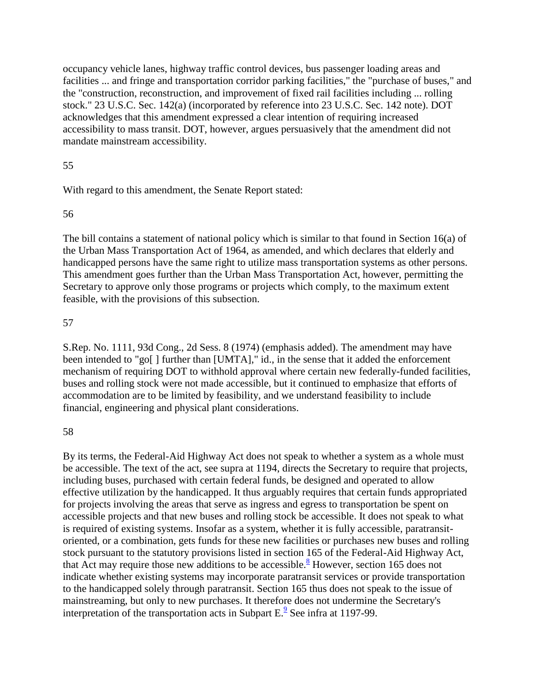occupancy vehicle lanes, highway traffic control devices, bus passenger loading areas and facilities ... and fringe and transportation corridor parking facilities," the "purchase of buses," and the "construction, reconstruction, and improvement of fixed rail facilities including ... rolling stock." 23 U.S.C. Sec. 142(a) (incorporated by reference into 23 U.S.C. Sec. 142 note). DOT acknowledges that this amendment expressed a clear intention of requiring increased accessibility to mass transit. DOT, however, argues persuasively that the amendment did not mandate mainstream accessibility.

#### 55

With regard to this amendment, the Senate Report stated:

#### 56

The bill contains a statement of national policy which is similar to that found in Section 16(a) of the Urban Mass Transportation Act of 1964, as amended, and which declares that elderly and handicapped persons have the same right to utilize mass transportation systems as other persons. This amendment goes further than the Urban Mass Transportation Act, however, permitting the Secretary to approve only those programs or projects which comply, to the maximum extent feasible, with the provisions of this subsection.

#### 57

S.Rep. No. 1111, 93d Cong., 2d Sess. 8 (1974) (emphasis added). The amendment may have been intended to "go[ ] further than [UMTA]," id., in the sense that it added the enforcement mechanism of requiring DOT to withhold approval where certain new federally-funded facilities, buses and rolling stock were not made accessible, but it continued to emphasize that efforts of accommodation are to be limited by feasibility, and we understand feasibility to include financial, engineering and physical plant considerations.

## 58

By its terms, the Federal-Aid Highway Act does not speak to whether a system as a whole must be accessible. The text of the act, see supra at 1194, directs the Secretary to require that projects, including buses, purchased with certain federal funds, be designed and operated to allow effective utilization by the handicapped. It thus arguably requires that certain funds appropriated for projects involving the areas that serve as ingress and egress to transportation be spent on accessible projects and that new buses and rolling stock be accessible. It does not speak to what is required of existing systems. Insofar as a system, whether it is fully accessible, paratransitoriented, or a combination, gets funds for these new facilities or purchases new buses and rolling stock pursuant to the statutory provisions listed in section 165 of the Federal-Aid Highway Act, that Act may require those new additions to be accessible[.](http://law.justia.com/cases/federal/appellate-courts/F2/881/1184/93966/#fn8)<sup>8</sup> However, section 165 does not indicate whether existing systems may incorporate paratransit services or provide transportation to the handicapped solely through paratransit. Section 165 thus does not speak to the issue of mainstreaming, but only to new purchases. It therefore does not undermine the Secretary's interpretation of the transportation acts in Subpart  $E^2$ [.](http://law.justia.com/cases/federal/appellate-courts/F2/881/1184/93966/#fn9) See infra at 1197-99.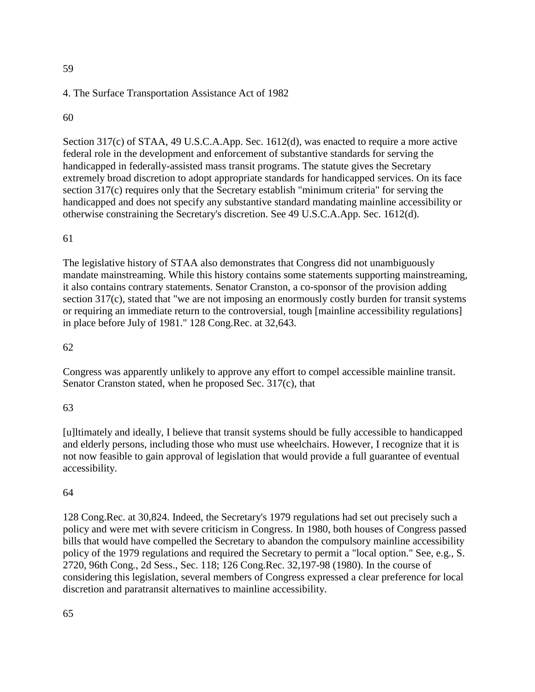#### 4. The Surface Transportation Assistance Act of 1982

#### 60

Section 317(c) of STAA, 49 U.S.C.A.App. Sec. 1612(d), was enacted to require a more active federal role in the development and enforcement of substantive standards for serving the handicapped in federally-assisted mass transit programs. The statute gives the Secretary extremely broad discretion to adopt appropriate standards for handicapped services. On its face section 317(c) requires only that the Secretary establish "minimum criteria" for serving the handicapped and does not specify any substantive standard mandating mainline accessibility or otherwise constraining the Secretary's discretion. See 49 U.S.C.A.App. Sec. 1612(d).

#### 61

The legislative history of STAA also demonstrates that Congress did not unambiguously mandate mainstreaming. While this history contains some statements supporting mainstreaming, it also contains contrary statements. Senator Cranston, a co-sponsor of the provision adding section 317(c), stated that "we are not imposing an enormously costly burden for transit systems or requiring an immediate return to the controversial, tough [mainline accessibility regulations] in place before July of 1981." 128 Cong.Rec. at 32,643.

### 62

Congress was apparently unlikely to approve any effort to compel accessible mainline transit. Senator Cranston stated, when he proposed Sec. 317(c), that

#### 63

[u]ltimately and ideally, I believe that transit systems should be fully accessible to handicapped and elderly persons, including those who must use wheelchairs. However, I recognize that it is not now feasible to gain approval of legislation that would provide a full guarantee of eventual accessibility.

#### 64

128 Cong.Rec. at 30,824. Indeed, the Secretary's 1979 regulations had set out precisely such a policy and were met with severe criticism in Congress. In 1980, both houses of Congress passed bills that would have compelled the Secretary to abandon the compulsory mainline accessibility policy of the 1979 regulations and required the Secretary to permit a "local option." See, e.g., S. 2720, 96th Cong., 2d Sess., Sec. 118; 126 Cong.Rec. 32,197-98 (1980). In the course of considering this legislation, several members of Congress expressed a clear preference for local discretion and paratransit alternatives to mainline accessibility.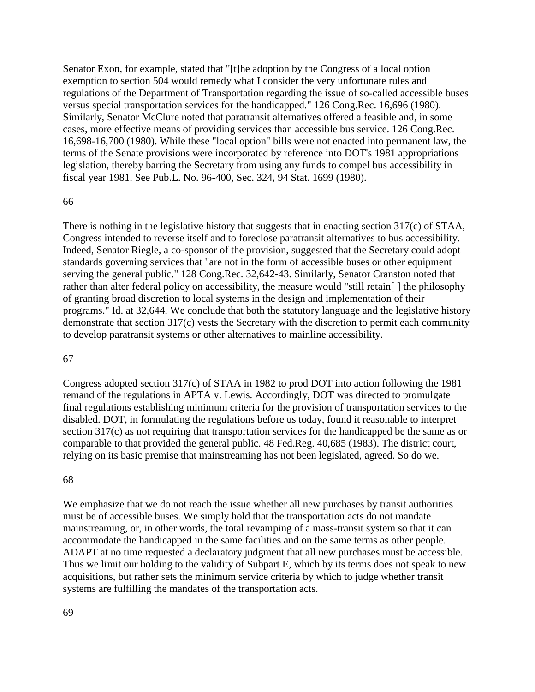Senator Exon, for example, stated that "[t]he adoption by the Congress of a local option exemption to section 504 would remedy what I consider the very unfortunate rules and regulations of the Department of Transportation regarding the issue of so-called accessible buses versus special transportation services for the handicapped." 126 Cong.Rec. 16,696 (1980). Similarly, Senator McClure noted that paratransit alternatives offered a feasible and, in some cases, more effective means of providing services than accessible bus service. 126 Cong.Rec. 16,698-16,700 (1980). While these "local option" bills were not enacted into permanent law, the terms of the Senate provisions were incorporated by reference into DOT's 1981 appropriations legislation, thereby barring the Secretary from using any funds to compel bus accessibility in fiscal year 1981. See Pub.L. No. 96-400, Sec. 324, 94 Stat. 1699 (1980).

#### 66

There is nothing in the legislative history that suggests that in enacting section 317(c) of STAA, Congress intended to reverse itself and to foreclose paratransit alternatives to bus accessibility. Indeed, Senator Riegle, a co-sponsor of the provision, suggested that the Secretary could adopt standards governing services that "are not in the form of accessible buses or other equipment serving the general public." 128 Cong.Rec. 32,642-43. Similarly, Senator Cranston noted that rather than alter federal policy on accessibility, the measure would "still retain[ ] the philosophy of granting broad discretion to local systems in the design and implementation of their programs." Id. at 32,644. We conclude that both the statutory language and the legislative history demonstrate that section 317(c) vests the Secretary with the discretion to permit each community to develop paratransit systems or other alternatives to mainline accessibility.

#### 67

Congress adopted section 317(c) of STAA in 1982 to prod DOT into action following the 1981 remand of the regulations in APTA v. Lewis. Accordingly, DOT was directed to promulgate final regulations establishing minimum criteria for the provision of transportation services to the disabled. DOT, in formulating the regulations before us today, found it reasonable to interpret section 317(c) as not requiring that transportation services for the handicapped be the same as or comparable to that provided the general public. 48 Fed.Reg. 40,685 (1983). The district court, relying on its basic premise that mainstreaming has not been legislated, agreed. So do we.

#### 68

We emphasize that we do not reach the issue whether all new purchases by transit authorities must be of accessible buses. We simply hold that the transportation acts do not mandate mainstreaming, or, in other words, the total revamping of a mass-transit system so that it can accommodate the handicapped in the same facilities and on the same terms as other people. ADAPT at no time requested a declaratory judgment that all new purchases must be accessible. Thus we limit our holding to the validity of Subpart E, which by its terms does not speak to new acquisitions, but rather sets the minimum service criteria by which to judge whether transit systems are fulfilling the mandates of the transportation acts.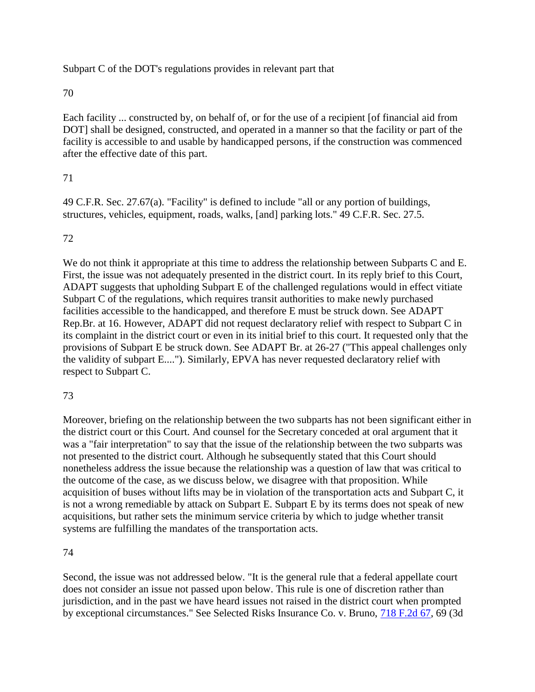Subpart C of the DOT's regulations provides in relevant part that

#### 70

Each facility ... constructed by, on behalf of, or for the use of a recipient [of financial aid from DOT] shall be designed, constructed, and operated in a manner so that the facility or part of the facility is accessible to and usable by handicapped persons, if the construction was commenced after the effective date of this part.

## 71

49 C.F.R. Sec. 27.67(a). "Facility" is defined to include "all or any portion of buildings, structures, vehicles, equipment, roads, walks, [and] parking lots." 49 C.F.R. Sec. 27.5.

## 72

We do not think it appropriate at this time to address the relationship between Subparts C and E. First, the issue was not adequately presented in the district court. In its reply brief to this Court, ADAPT suggests that upholding Subpart E of the challenged regulations would in effect vitiate Subpart C of the regulations, which requires transit authorities to make newly purchased facilities accessible to the handicapped, and therefore E must be struck down. See ADAPT Rep.Br. at 16. However, ADAPT did not request declaratory relief with respect to Subpart C in its complaint in the district court or even in its initial brief to this court. It requested only that the provisions of Subpart E be struck down. See ADAPT Br. at 26-27 ("This appeal challenges only the validity of subpart E...."). Similarly, EPVA has never requested declaratory relief with respect to Subpart C.

## 73

Moreover, briefing on the relationship between the two subparts has not been significant either in the district court or this Court. And counsel for the Secretary conceded at oral argument that it was a "fair interpretation" to say that the issue of the relationship between the two subparts was not presented to the district court. Although he subsequently stated that this Court should nonetheless address the issue because the relationship was a question of law that was critical to the outcome of the case, as we discuss below, we disagree with that proposition. While acquisition of buses without lifts may be in violation of the transportation acts and Subpart C, it is not a wrong remediable by attack on Subpart E. Subpart E by its terms does not speak of new acquisitions, but rather sets the minimum service criteria by which to judge whether transit systems are fulfilling the mandates of the transportation acts.

#### 74

Second, the issue was not addressed below. "It is the general rule that a federal appellate court does not consider an issue not passed upon below. This rule is one of discretion rather than jurisdiction, and in the past we have heard issues not raised in the district court when prompted by exceptional circumstances." See Selected Risks Insurance Co. v. Bruno, [718 F.2d 67,](http://law.justia.com/cases/federal/appellate-courts/F2/718/67/) 69 (3d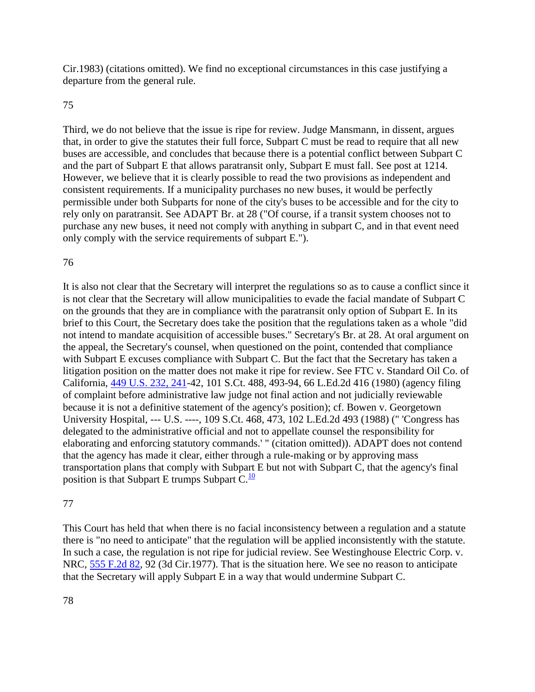Cir.1983) (citations omitted). We find no exceptional circumstances in this case justifying a departure from the general rule.

#### 75

Third, we do not believe that the issue is ripe for review. Judge Mansmann, in dissent, argues that, in order to give the statutes their full force, Subpart C must be read to require that all new buses are accessible, and concludes that because there is a potential conflict between Subpart C and the part of Subpart E that allows paratransit only, Subpart E must fall. See post at 1214. However, we believe that it is clearly possible to read the two provisions as independent and consistent requirements. If a municipality purchases no new buses, it would be perfectly permissible under both Subparts for none of the city's buses to be accessible and for the city to rely only on paratransit. See ADAPT Br. at 28 ("Of course, if a transit system chooses not to purchase any new buses, it need not comply with anything in subpart C, and in that event need only comply with the service requirements of subpart E.").

## 76

It is also not clear that the Secretary will interpret the regulations so as to cause a conflict since it is not clear that the Secretary will allow municipalities to evade the facial mandate of Subpart C on the grounds that they are in compliance with the paratransit only option of Subpart E. In its brief to this Court, the Secretary does take the position that the regulations taken as a whole "did not intend to mandate acquisition of accessible buses." Secretary's Br. at 28. At oral argument on the appeal, the Secretary's counsel, when questioned on the point, contended that compliance with Subpart E excuses compliance with Subpart C. But the fact that the Secretary has taken a litigation position on the matter does not make it ripe for review. See FTC v. Standard Oil Co. of California, [449 U.S. 232, 241-](http://supreme.justia.com/us/449/232/case.html#241)42, 101 S.Ct. 488, 493-94, 66 L.Ed.2d 416 (1980) (agency filing of complaint before administrative law judge not final action and not judicially reviewable because it is not a definitive statement of the agency's position); cf. Bowen v. Georgetown University Hospital, --- U.S. ----, 109 S.Ct. 468, 473, 102 L.Ed.2d 493 (1988) (" 'Congress has delegated to the administrative official and not to appellate counsel the responsibility for elaborating and enforcing statutory commands.' " (citation omitted)). ADAPT does not contend that the agency has made it clear, either through a rule-making or by approving mass transportation plans that comply with Subpart E but not with Subpart C, that the agency's final position is that Subpart E trumps Subpart  $C.\overline{10}$  $C.\overline{10}$  $C.\overline{10}$ 

#### 77

This Court has held that when there is no facial inconsistency between a regulation and a statute there is "no need to anticipate" that the regulation will be applied inconsistently with the statute. In such a case, the regulation is not ripe for judicial review. See Westinghouse Electric Corp. v. NRC, [555 F.2d 82,](http://law.justia.com/cases/federal/appellate-courts/F2/555/82/) 92 (3d Cir.1977). That is the situation here. We see no reason to anticipate that the Secretary will apply Subpart E in a way that would undermine Subpart C.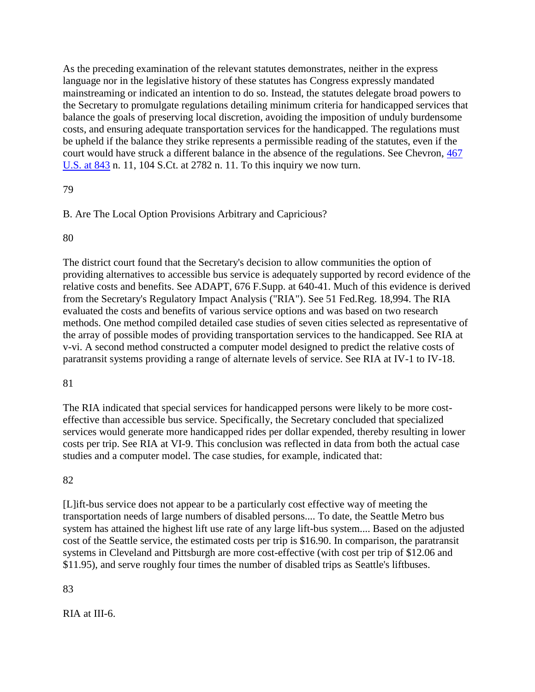As the preceding examination of the relevant statutes demonstrates, neither in the express language nor in the legislative history of these statutes has Congress expressly mandated mainstreaming or indicated an intention to do so. Instead, the statutes delegate broad powers to the Secretary to promulgate regulations detailing minimum criteria for handicapped services that balance the goals of preserving local discretion, avoiding the imposition of unduly burdensome costs, and ensuring adequate transportation services for the handicapped. The regulations must be upheld if the balance they strike represents a permissible reading of the statutes, even if the court would have struck a different balance in the absence of the regulations. See Chevron, [467](http://supreme.justia.com/us/467/843/)  [U.S. at 843](http://supreme.justia.com/us/467/843/) n. 11, 104 S.Ct. at 2782 n. 11. To this inquiry we now turn.

# 79

# B. Are The Local Option Provisions Arbitrary and Capricious?

## 80

The district court found that the Secretary's decision to allow communities the option of providing alternatives to accessible bus service is adequately supported by record evidence of the relative costs and benefits. See ADAPT, 676 F.Supp. at 640-41. Much of this evidence is derived from the Secretary's Regulatory Impact Analysis ("RIA"). See 51 Fed.Reg. 18,994. The RIA evaluated the costs and benefits of various service options and was based on two research methods. One method compiled detailed case studies of seven cities selected as representative of the array of possible modes of providing transportation services to the handicapped. See RIA at v-vi. A second method constructed a computer model designed to predict the relative costs of paratransit systems providing a range of alternate levels of service. See RIA at IV-1 to IV-18.

## 81

The RIA indicated that special services for handicapped persons were likely to be more costeffective than accessible bus service. Specifically, the Secretary concluded that specialized services would generate more handicapped rides per dollar expended, thereby resulting in lower costs per trip. See RIA at VI-9. This conclusion was reflected in data from both the actual case studies and a computer model. The case studies, for example, indicated that:

# 82

[L]ift-bus service does not appear to be a particularly cost effective way of meeting the transportation needs of large numbers of disabled persons.... To date, the Seattle Metro bus system has attained the highest lift use rate of any large lift-bus system.... Based on the adjusted cost of the Seattle service, the estimated costs per trip is \$16.90. In comparison, the paratransit systems in Cleveland and Pittsburgh are more cost-effective (with cost per trip of \$12.06 and \$11.95), and serve roughly four times the number of disabled trips as Seattle's liftbuses.

# 83

RIA at III-6.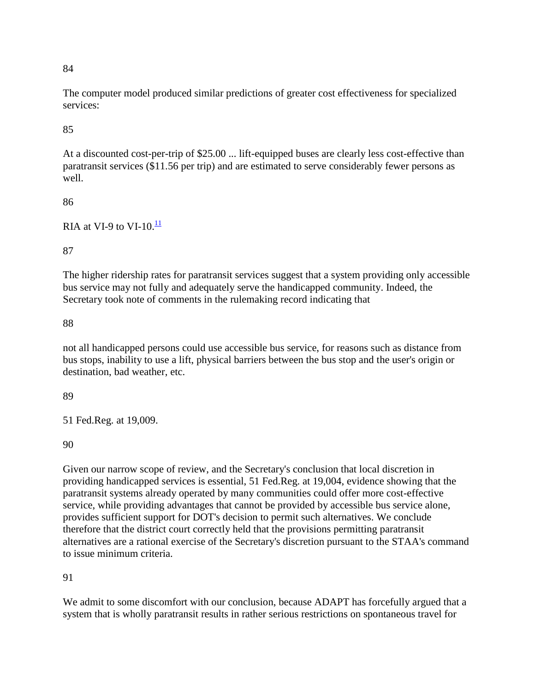The computer model produced similar predictions of greater cost effectiveness for specialized services:

85

At a discounted cost-per-trip of \$25.00 ... lift-equipped buses are clearly less cost-effective than paratransit services (\$11.56 per trip) and are estimated to serve considerably fewer persons as well.

86

RIA at VI-9 to VI-10. $\frac{11}{1}$  $\frac{11}{1}$  $\frac{11}{1}$ 

87

The higher ridership rates for paratransit services suggest that a system providing only accessible bus service may not fully and adequately serve the handicapped community. Indeed, the Secretary took note of comments in the rulemaking record indicating that

88

not all handicapped persons could use accessible bus service, for reasons such as distance from bus stops, inability to use a lift, physical barriers between the bus stop and the user's origin or destination, bad weather, etc.

89

51 Fed.Reg. at 19,009.

90

Given our narrow scope of review, and the Secretary's conclusion that local discretion in providing handicapped services is essential, 51 Fed.Reg. at 19,004, evidence showing that the paratransit systems already operated by many communities could offer more cost-effective service, while providing advantages that cannot be provided by accessible bus service alone, provides sufficient support for DOT's decision to permit such alternatives. We conclude therefore that the district court correctly held that the provisions permitting paratransit alternatives are a rational exercise of the Secretary's discretion pursuant to the STAA's command to issue minimum criteria.

91

We admit to some discomfort with our conclusion, because ADAPT has forcefully argued that a system that is wholly paratransit results in rather serious restrictions on spontaneous travel for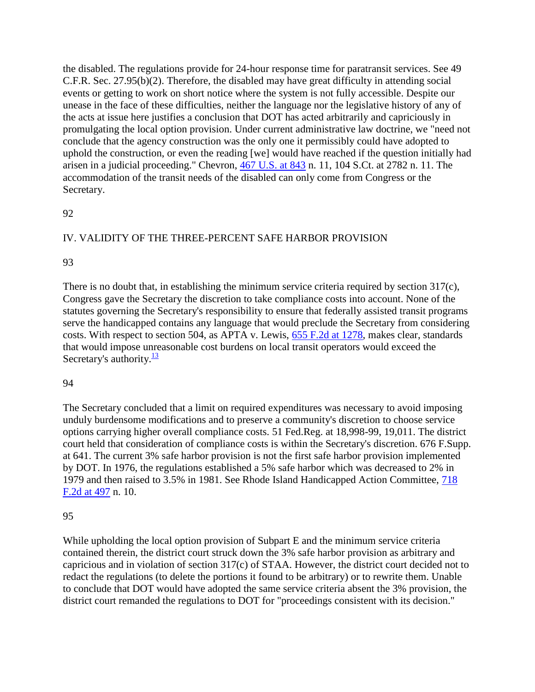the disabled. The regulations provide for 24-hour response time for paratransit services. See 49 C.F.R. Sec. 27.95(b)(2). Therefore, the disabled may have great difficulty in attending social events or getting to work on short notice where the system is not fully accessible. Despite our unease in the face of these difficulties, neither the language nor the legislative history of any of the acts at issue here justifies a conclusion that DOT has acted arbitrarily and capriciously in promulgating the local option provision. Under current administrative law doctrine, we "need not conclude that the agency construction was the only one it permissibly could have adopted to uphold the construction, or even the reading [we] would have reached if the question initially had arisen in a judicial proceeding." Chevron, [467 U.S. at 843](http://supreme.justia.com/us/467/843/) n. 11, 104 S.Ct. at 2782 n. 11. The accommodation of the transit needs of the disabled can only come from Congress or the Secretary.

## 92

# IV. VALIDITY OF THE THREE-PERCENT SAFE HARBOR PROVISION

#### 93

There is no doubt that, in establishing the minimum service criteria required by section 317(c), Congress gave the Secretary the discretion to take compliance costs into account. None of the statutes governing the Secretary's responsibility to ensure that federally assisted transit programs serve the handicapped contains any language that would preclude the Secretary from considering costs. With respect to section 504, as APTA v. Lewis, 655 [F.2d at 1278,](http://law.justia.com/cases/federal/appellate-courts/F2/655/1278/) makes clear, standards that would impose unreasonable cost burdens on local transit operators would exceed the Secretary's authority. $\frac{13}{13}$  $\frac{13}{13}$  $\frac{13}{13}$ 

#### 94

The Secretary concluded that a limit on required expenditures was necessary to avoid imposing unduly burdensome modifications and to preserve a community's discretion to choose service options carrying higher overall compliance costs. 51 Fed.Reg. at 18,998-99, 19,011. The district court held that consideration of compliance costs is within the Secretary's discretion. 676 F.Supp. at 641. The current 3% safe harbor provision is not the first safe harbor provision implemented by DOT. In 1976, the regulations established a 5% safe harbor which was decreased to 2% in 1979 and then raised to 3.5% in 1981. See Rhode Island Handicapped Action Committee, [718](http://law.justia.com/cases/federal/appellate-courts/F2/718/497/)  [F.2d at 497](http://law.justia.com/cases/federal/appellate-courts/F2/718/497/) n. 10.

## 95

While upholding the local option provision of Subpart E and the minimum service criteria contained therein, the district court struck down the 3% safe harbor provision as arbitrary and capricious and in violation of section 317(c) of STAA. However, the district court decided not to redact the regulations (to delete the portions it found to be arbitrary) or to rewrite them. Unable to conclude that DOT would have adopted the same service criteria absent the 3% provision, the district court remanded the regulations to DOT for "proceedings consistent with its decision."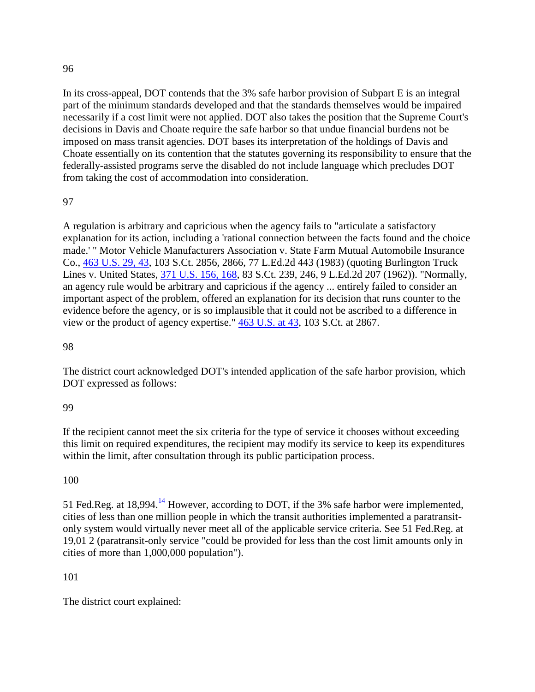In its cross-appeal, DOT contends that the 3% safe harbor provision of Subpart E is an integral part of the minimum standards developed and that the standards themselves would be impaired necessarily if a cost limit were not applied. DOT also takes the position that the Supreme Court's decisions in Davis and Choate require the safe harbor so that undue financial burdens not be imposed on mass transit agencies. DOT bases its interpretation of the holdings of Davis and Choate essentially on its contention that the statutes governing its responsibility to ensure that the federally-assisted programs serve the disabled do not include language which precludes DOT from taking the cost of accommodation into consideration.

## 97

A regulation is arbitrary and capricious when the agency fails to "articulate a satisfactory explanation for its action, including a 'rational connection between the facts found and the choice made.' " Motor Vehicle Manufacturers Association v. State Farm Mutual Automobile Insurance Co., [463 U.S. 29, 43,](http://supreme.justia.com/us/463/29/case.html#43) 103 S.Ct. 2856, 2866, 77 L.Ed.2d 443 (1983) (quoting Burlington Truck Lines v. United States, [371 U.S. 156, 168,](http://supreme.justia.com/us/371/156/case.html#168) 83 S.Ct. 239, 246, 9 L.Ed.2d 207 (1962)). "Normally, an agency rule would be arbitrary and capricious if the agency ... entirely failed to consider an important aspect of the problem, offered an explanation for its decision that runs counter to the evidence before the agency, or is so implausible that it could not be ascribed to a difference in view or the product of agency expertise." [463 U.S. at 43,](http://supreme.justia.com/us/463/43/) 103 S.Ct. at 2867.

## 98

The district court acknowledged DOT's intended application of the safe harbor provision, which DOT expressed as follows:

#### 99

If the recipient cannot meet the six criteria for the type of service it chooses without exceeding this limit on required expenditures, the recipient may modify its service to keep its expenditures within the limit, after consultation through its public participation process.

## 100

51 Fed.Reg. at 18,994. $\frac{14}{1}$  $\frac{14}{1}$  $\frac{14}{1}$  However, according to DOT, if the 3% safe harbor were implemented, cities of less than one million people in which the transit authorities implemented a paratransitonly system would virtually never meet all of the applicable service criteria. See 51 Fed.Reg. at 19,01 2 (paratransit-only service "could be provided for less than the cost limit amounts only in cities of more than 1,000,000 population").

## 101

The district court explained: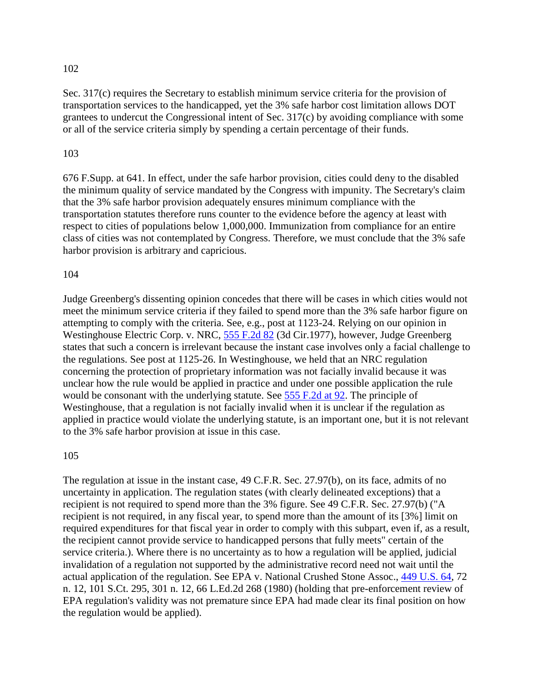Sec. 317(c) requires the Secretary to establish minimum service criteria for the provision of transportation services to the handicapped, yet the 3% safe harbor cost limitation allows DOT grantees to undercut the Congressional intent of Sec. 317(c) by avoiding compliance with some or all of the service criteria simply by spending a certain percentage of their funds.

#### 103

676 F.Supp. at 641. In effect, under the safe harbor provision, cities could deny to the disabled the minimum quality of service mandated by the Congress with impunity. The Secretary's claim that the 3% safe harbor provision adequately ensures minimum compliance with the transportation statutes therefore runs counter to the evidence before the agency at least with respect to cities of populations below 1,000,000. Immunization from compliance for an entire class of cities was not contemplated by Congress. Therefore, we must conclude that the 3% safe harbor provision is arbitrary and capricious.

#### 104

Judge Greenberg's dissenting opinion concedes that there will be cases in which cities would not meet the minimum service criteria if they failed to spend more than the 3% safe harbor figure on attempting to comply with the criteria. See, e.g., post at 1123-24. Relying on our opinion in Westinghouse Electric Corp. v. NRC, [555 F.2d 82](http://law.justia.com/cases/federal/appellate-courts/F2/555/82/) (3d Cir.1977), however, Judge Greenberg states that such a concern is irrelevant because the instant case involves only a facial challenge to the regulations. See post at 1125-26. In Westinghouse, we held that an NRC regulation concerning the protection of proprietary information was not facially invalid because it was unclear how the rule would be applied in practice and under one possible application the rule would be consonant with the underlying statute. See [555 F.2d at 92.](http://law.justia.com/cases/federal/appellate-courts/F2/555/92/) The principle of Westinghouse, that a regulation is not facially invalid when it is unclear if the regulation as applied in practice would violate the underlying statute, is an important one, but it is not relevant to the 3% safe harbor provision at issue in this case.

#### 105

The regulation at issue in the instant case, 49 C.F.R. Sec. 27.97(b), on its face, admits of no uncertainty in application. The regulation states (with clearly delineated exceptions) that a recipient is not required to spend more than the 3% figure. See 49 C.F.R. Sec. 27.97(b) ("A recipient is not required, in any fiscal year, to spend more than the amount of its [3%] limit on required expenditures for that fiscal year in order to comply with this subpart, even if, as a result, the recipient cannot provide service to handicapped persons that fully meets" certain of the service criteria.). Where there is no uncertainty as to how a regulation will be applied, judicial invalidation of a regulation not supported by the administrative record need not wait until the actual application of the regulation. See EPA v. National Crushed Stone Assoc., [449 U.S. 64,](http://supreme.justia.com/us/449/64/) 72 n. 12, 101 S.Ct. 295, 301 n. 12, 66 L.Ed.2d 268 (1980) (holding that pre-enforcement review of EPA regulation's validity was not premature since EPA had made clear its final position on how the regulation would be applied).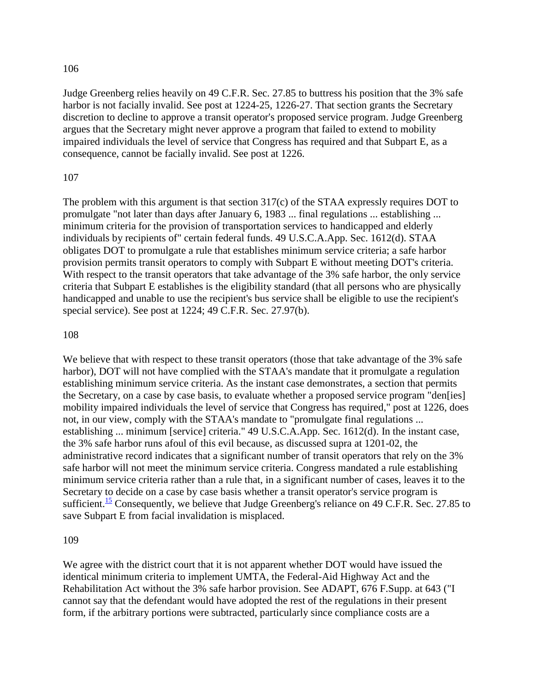Judge Greenberg relies heavily on 49 C.F.R. Sec. 27.85 to buttress his position that the 3% safe harbor is not facially invalid. See post at 1224-25, 1226-27. That section grants the Secretary discretion to decline to approve a transit operator's proposed service program. Judge Greenberg argues that the Secretary might never approve a program that failed to extend to mobility impaired individuals the level of service that Congress has required and that Subpart E, as a consequence, cannot be facially invalid. See post at 1226.

#### 107

The problem with this argument is that section 317(c) of the STAA expressly requires DOT to promulgate "not later than days after January 6, 1983 ... final regulations ... establishing ... minimum criteria for the provision of transportation services to handicapped and elderly individuals by recipients of" certain federal funds. 49 U.S.C.A.App. Sec. 1612(d). STAA obligates DOT to promulgate a rule that establishes minimum service criteria; a safe harbor provision permits transit operators to comply with Subpart E without meeting DOT's criteria. With respect to the transit operators that take advantage of the 3% safe harbor, the only service criteria that Subpart E establishes is the eligibility standard (that all persons who are physically handicapped and unable to use the recipient's bus service shall be eligible to use the recipient's special service). See post at 1224; 49 C.F.R. Sec. 27.97(b).

#### 108

We believe that with respect to these transit operators (those that take advantage of the 3% safe harbor), DOT will not have complied with the STAA's mandate that it promulgate a regulation establishing minimum service criteria. As the instant case demonstrates, a section that permits the Secretary, on a case by case basis, to evaluate whether a proposed service program "den[ies] mobility impaired individuals the level of service that Congress has required," post at 1226, does not, in our view, comply with the STAA's mandate to "promulgate final regulations ... establishing ... minimum [service] criteria." 49 U.S.C.A.App. Sec. 1612(d). In the instant case, the 3% safe harbor runs afoul of this evil because, as discussed supra at 1201-02, the administrative record indicates that a significant number of transit operators that rely on the 3% safe harbor will not meet the minimum service criteria. Congress mandated a rule establishing minimum service criteria rather than a rule that, in a significant number of cases, leaves it to the Secretary to decide on a case by case basis whether a transit operator's service program is sufficient.<sup>[15](http://law.justia.com/cases/federal/appellate-courts/F2/881/1184/93966/#fn15)</sup> Consequently, we believe that Judge Greenberg's reliance on 49 C.F.R. Sec. 27.85 to save Subpart E from facial invalidation is misplaced.

#### 109

We agree with the district court that it is not apparent whether DOT would have issued the identical minimum criteria to implement UMTA, the Federal-Aid Highway Act and the Rehabilitation Act without the 3% safe harbor provision. See ADAPT, 676 F.Supp. at 643 ("I cannot say that the defendant would have adopted the rest of the regulations in their present form, if the arbitrary portions were subtracted, particularly since compliance costs are a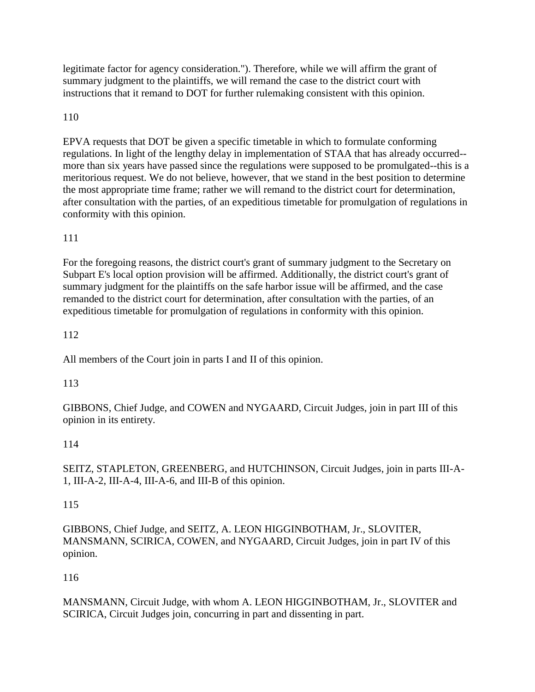legitimate factor for agency consideration."). Therefore, while we will affirm the grant of summary judgment to the plaintiffs, we will remand the case to the district court with instructions that it remand to DOT for further rulemaking consistent with this opinion.

# 110

EPVA requests that DOT be given a specific timetable in which to formulate conforming regulations. In light of the lengthy delay in implementation of STAA that has already occurred- more than six years have passed since the regulations were supposed to be promulgated--this is a meritorious request. We do not believe, however, that we stand in the best position to determine the most appropriate time frame; rather we will remand to the district court for determination, after consultation with the parties, of an expeditious timetable for promulgation of regulations in conformity with this opinion.

# 111

For the foregoing reasons, the district court's grant of summary judgment to the Secretary on Subpart E's local option provision will be affirmed. Additionally, the district court's grant of summary judgment for the plaintiffs on the safe harbor issue will be affirmed, and the case remanded to the district court for determination, after consultation with the parties, of an expeditious timetable for promulgation of regulations in conformity with this opinion.

# 112

All members of the Court join in parts I and II of this opinion.

## 113

GIBBONS, Chief Judge, and COWEN and NYGAARD, Circuit Judges, join in part III of this opinion in its entirety.

## 114

SEITZ, STAPLETON, GREENBERG, and HUTCHINSON, Circuit Judges, join in parts III-A-1, III-A-2, III-A-4, III-A-6, and III-B of this opinion.

## 115

GIBBONS, Chief Judge, and SEITZ, A. LEON HIGGINBOTHAM, Jr., SLOVITER, MANSMANN, SCIRICA, COWEN, and NYGAARD, Circuit Judges, join in part IV of this opinion.

# 116

MANSMANN, Circuit Judge, with whom A. LEON HIGGINBOTHAM, Jr., SLOVITER and SCIRICA, Circuit Judges join, concurring in part and dissenting in part.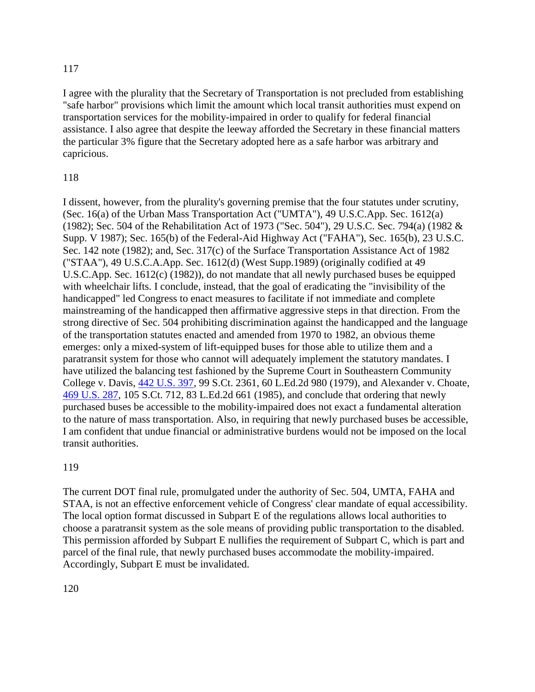I agree with the plurality that the Secretary of Transportation is not precluded from establishing "safe harbor" provisions which limit the amount which local transit authorities must expend on transportation services for the mobility-impaired in order to qualify for federal financial assistance. I also agree that despite the leeway afforded the Secretary in these financial matters the particular 3% figure that the Secretary adopted here as a safe harbor was arbitrary and capricious.

#### 118

I dissent, however, from the plurality's governing premise that the four statutes under scrutiny, (Sec. 16(a) of the Urban Mass Transportation Act ("UMTA"), 49 U.S.C.App. Sec. 1612(a) (1982); Sec. 504 of the Rehabilitation Act of 1973 ("Sec. 504"), 29 U.S.C. Sec. 794(a) (1982 & Supp. V 1987); Sec. 165(b) of the Federal-Aid Highway Act ("FAHA"), Sec. 165(b), 23 U.S.C. Sec. 142 note (1982); and, Sec. 317(c) of the Surface Transportation Assistance Act of 1982 ("STAA"), 49 U.S.C.A.App. Sec. 1612(d) (West Supp.1989) (originally codified at 49 U.S.C.App. Sec. 1612(c) (1982)), do not mandate that all newly purchased buses be equipped with wheelchair lifts. I conclude, instead, that the goal of eradicating the "invisibility of the handicapped" led Congress to enact measures to facilitate if not immediate and complete mainstreaming of the handicapped then affirmative aggressive steps in that direction. From the strong directive of Sec. 504 prohibiting discrimination against the handicapped and the language of the transportation statutes enacted and amended from 1970 to 1982, an obvious theme emerges: only a mixed-system of lift-equipped buses for those able to utilize them and a paratransit system for those who cannot will adequately implement the statutory mandates. I have utilized the balancing test fashioned by the Supreme Court in Southeastern Community College v. Davis, [442 U.S. 397,](http://supreme.justia.com/us/442/397/) 99 S.Ct. 2361, 60 L.Ed.2d 980 (1979), and Alexander v. Choate, [469 U.S. 287,](http://supreme.justia.com/us/469/287/) 105 S.Ct. 712, 83 L.Ed.2d 661 (1985), and conclude that ordering that newly purchased buses be accessible to the mobility-impaired does not exact a fundamental alteration to the nature of mass transportation. Also, in requiring that newly purchased buses be accessible, I am confident that undue financial or administrative burdens would not be imposed on the local transit authorities.

#### 119

The current DOT final rule, promulgated under the authority of Sec. 504, UMTA, FAHA and STAA, is not an effective enforcement vehicle of Congress' clear mandate of equal accessibility. The local option format discussed in Subpart E of the regulations allows local authorities to choose a paratransit system as the sole means of providing public transportation to the disabled. This permission afforded by Subpart E nullifies the requirement of Subpart C, which is part and parcel of the final rule, that newly purchased buses accommodate the mobility-impaired. Accordingly, Subpart E must be invalidated.

## 120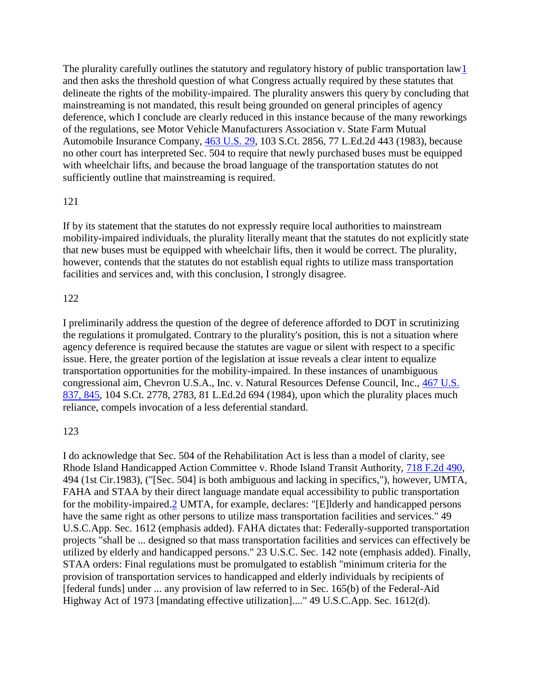The plurality carefully outlines the statutory and regulatory history of public transportation la[w1](http://law.justia.com/cases/federal/appellate-courts/F2/881/1184/93966/#fn1-2) and then asks the threshold question of what Congress actually required by these statutes that delineate the rights of the mobility-impaired. The plurality answers this query by concluding that mainstreaming is not mandated, this result being grounded on general principles of agency deference, which I conclude are clearly reduced in this instance because of the many reworkings of the regulations, see Motor Vehicle Manufacturers Association v. State Farm Mutual Automobile Insurance Company, [463 U.S. 29,](http://supreme.justia.com/us/463/29/) 103 S.Ct. 2856, 77 L.Ed.2d 443 (1983), because no other court has interpreted Sec. 504 to require that newly purchased buses must be equipped with wheelchair lifts, and because the broad language of the transportation statutes do not sufficiently outline that mainstreaming is required.

#### 121

If by its statement that the statutes do not expressly require local authorities to mainstream mobility-impaired individuals, the plurality literally meant that the statutes do not explicitly state that new buses must be equipped with wheelchair lifts, then it would be correct. The plurality, however, contends that the statutes do not establish equal rights to utilize mass transportation facilities and services and, with this conclusion, I strongly disagree.

#### 122

I preliminarily address the question of the degree of deference afforded to DOT in scrutinizing the regulations it promulgated. Contrary to the plurality's position, this is not a situation where agency deference is required because the statutes are vague or silent with respect to a specific issue. Here, the greater portion of the legislation at issue reveals a clear intent to equalize transportation opportunities for the mobility-impaired. In these instances of unambiguous congressional aim, Chevron U.S.A., Inc. v. Natural Resources Defense Council, Inc., [467 U.S.](http://supreme.justia.com/us/467/837/case.html#845)  [837, 845,](http://supreme.justia.com/us/467/837/case.html#845) 104 S.Ct. 2778, 2783, 81 L.Ed.2d 694 (1984), upon which the plurality places much reliance, compels invocation of a less deferential standard.

#### 123

I do acknowledge that Sec. 504 of the Rehabilitation Act is less than a model of clarity, see Rhode Island Handicapped Action Committee v. Rhode Island Transit Authority, [718 F.2d 490,](http://law.justia.com/cases/federal/appellate-courts/F2/718/490/) 494 (1st Cir.1983), ("[Sec. 504] is both ambiguous and lacking in specifics,"), however, UMTA, FAHA and STAA by their direct language mandate equal accessibility to public transportation for the mobility-impaired[.2](http://law.justia.com/cases/federal/appellate-courts/F2/881/1184/93966/#fn2-1) UMTA, for example, declares: "[E]lderly and handicapped persons have the same right as other persons to utilize mass transportation facilities and services." 49 U.S.C.App. Sec. 1612 (emphasis added). FAHA dictates that: Federally-supported transportation projects "shall be ... designed so that mass transportation facilities and services can effectively be utilized by elderly and handicapped persons." 23 U.S.C. Sec. 142 note (emphasis added). Finally, STAA orders: Final regulations must be promulgated to establish "minimum criteria for the provision of transportation services to handicapped and elderly individuals by recipients of [federal funds] under ... any provision of law referred to in Sec. 165(b) of the Federal-Aid Highway Act of 1973 [mandating effective utilization]...." 49 U.S.C.App. Sec. 1612(d).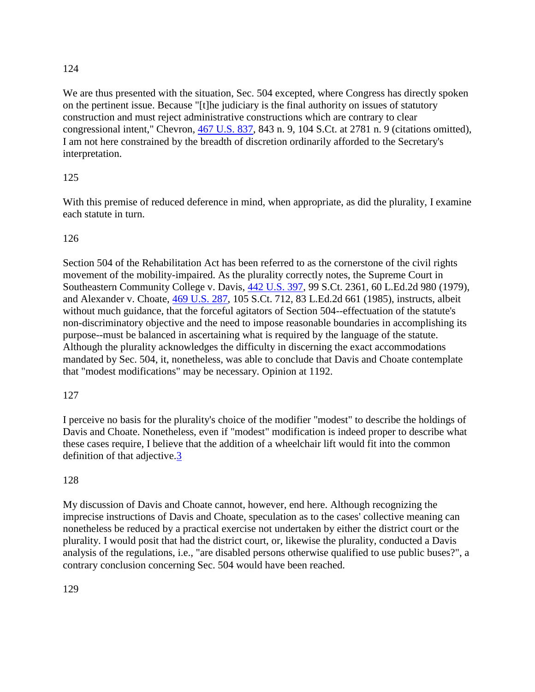We are thus presented with the situation, Sec. 504 excepted, where Congress has directly spoken on the pertinent issue. Because "[t]he judiciary is the final authority on issues of statutory construction and must reject administrative constructions which are contrary to clear congressional intent," Chevron, [467 U.S. 837,](http://supreme.justia.com/us/467/837/) 843 n. 9, 104 S.Ct. at 2781 n. 9 (citations omitted), I am not here constrained by the breadth of discretion ordinarily afforded to the Secretary's interpretation.

# 125

With this premise of reduced deference in mind, when appropriate, as did the plurality, I examine each statute in turn.

## 126

Section 504 of the Rehabilitation Act has been referred to as the cornerstone of the civil rights movement of the mobility-impaired. As the plurality correctly notes, the Supreme Court in Southeastern Community College v. Davis, [442 U.S. 397,](http://supreme.justia.com/us/442/397/) 99 S.Ct. 2361, 60 L.Ed.2d 980 (1979), and Alexander v. Choate, [469 U.S. 287,](http://supreme.justia.com/us/469/287/) 105 S.Ct. 712, 83 L.Ed.2d 661 (1985), instructs, albeit without much guidance, that the forceful agitators of Section 504--effectuation of the statute's non-discriminatory objective and the need to impose reasonable boundaries in accomplishing its purpose--must be balanced in ascertaining what is required by the language of the statute. Although the plurality acknowledges the difficulty in discerning the exact accommodations mandated by Sec. 504, it, nonetheless, was able to conclude that Davis and Choate contemplate that "modest modifications" may be necessary. Opinion at 1192.

## 127

I perceive no basis for the plurality's choice of the modifier "modest" to describe the holdings of Davis and Choate. Nonetheless, even if "modest" modification is indeed proper to describe what these cases require, I believe that the addition of a wheelchair lift would fit into the common definition of that adjective.<sup>3</sup>

## 128

My discussion of Davis and Choate cannot, however, end here. Although recognizing the imprecise instructions of Davis and Choate, speculation as to the cases' collective meaning can nonetheless be reduced by a practical exercise not undertaken by either the district court or the plurality. I would posit that had the district court, or, likewise the plurality, conducted a Davis analysis of the regulations, i.e., "are disabled persons otherwise qualified to use public buses?", a contrary conclusion concerning Sec. 504 would have been reached.

129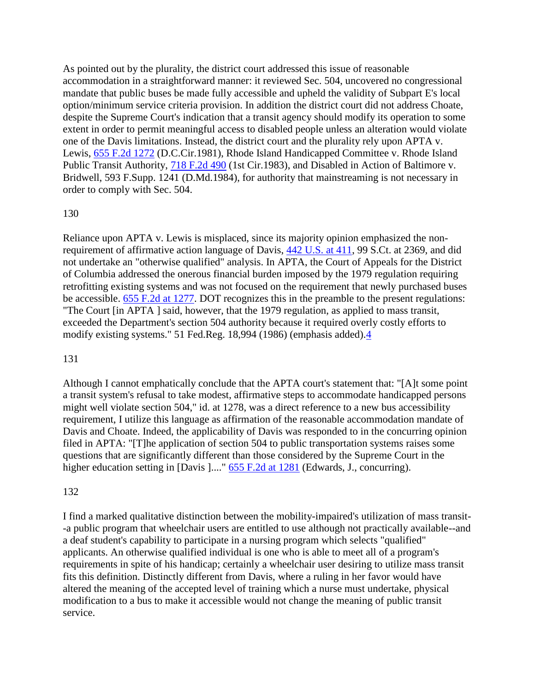As pointed out by the plurality, the district court addressed this issue of reasonable accommodation in a straightforward manner: it reviewed Sec. 504, uncovered no congressional mandate that public buses be made fully accessible and upheld the validity of Subpart E's local option/minimum service criteria provision. In addition the district court did not address Choate, despite the Supreme Court's indication that a transit agency should modify its operation to some extent in order to permit meaningful access to disabled people unless an alteration would violate one of the Davis limitations. Instead, the district court and the plurality rely upon APTA v. Lewis, [655 F.2d 1272](http://law.justia.com/cases/federal/appellate-courts/F2/655/1272/) (D.C.Cir.1981), Rhode Island Handicapped Committee v. Rhode Island Public Transit Authority, [718 F.2d 490](http://law.justia.com/cases/federal/appellate-courts/F2/718/490/) (1st Cir.1983), and Disabled in Action of Baltimore v. Bridwell, 593 F.Supp. 1241 (D.Md.1984), for authority that mainstreaming is not necessary in order to comply with Sec. 504.

#### 130

Reliance upon APTA v. Lewis is misplaced, since its majority opinion emphasized the nonrequirement of affirmative action language of Davis, [442 U.S. at 411,](http://supreme.justia.com/us/442/411/) 99 S.Ct. at 2369, and did not undertake an "otherwise qualified" analysis. In APTA, the Court of Appeals for the District of Columbia addressed the onerous financial burden imposed by the 1979 regulation requiring retrofitting existing systems and was not focused on the requirement that newly purchased buses be accessible. [655 F.2d at 1277.](http://law.justia.com/cases/federal/appellate-courts/F2/655/1277/) DOT recognizes this in the preamble to the present regulations: "The Court [in APTA ] said, however, that the 1979 regulation, as applied to mass transit, exceeded the Department's section 504 authority because it required overly costly efforts to modify existing systems." 51 Fed.Reg. 18,994 (1986) (emphasis added)[.4](http://law.justia.com/cases/federal/appellate-courts/F2/881/1184/93966/#fn4-2)

#### 131

Although I cannot emphatically conclude that the APTA court's statement that: "[A]t some point a transit system's refusal to take modest, affirmative steps to accommodate handicapped persons might well violate section 504," id. at 1278, was a direct reference to a new bus accessibility requirement, I utilize this language as affirmation of the reasonable accommodation mandate of Davis and Choate. Indeed, the applicability of Davis was responded to in the concurring opinion filed in APTA: "[T]he application of section 504 to public transportation systems raises some questions that are significantly different than those considered by the Supreme Court in the higher education setting in [Davis ]...." [655 F.2d at 1281](http://law.justia.com/cases/federal/appellate-courts/F2/655/1281/) (Edwards, J., concurring).

#### 132

I find a marked qualitative distinction between the mobility-impaired's utilization of mass transit- -a public program that wheelchair users are entitled to use although not practically available--and a deaf student's capability to participate in a nursing program which selects "qualified" applicants. An otherwise qualified individual is one who is able to meet all of a program's requirements in spite of his handicap; certainly a wheelchair user desiring to utilize mass transit fits this definition. Distinctly different from Davis, where a ruling in her favor would have altered the meaning of the accepted level of training which a nurse must undertake, physical modification to a bus to make it accessible would not change the meaning of public transit service.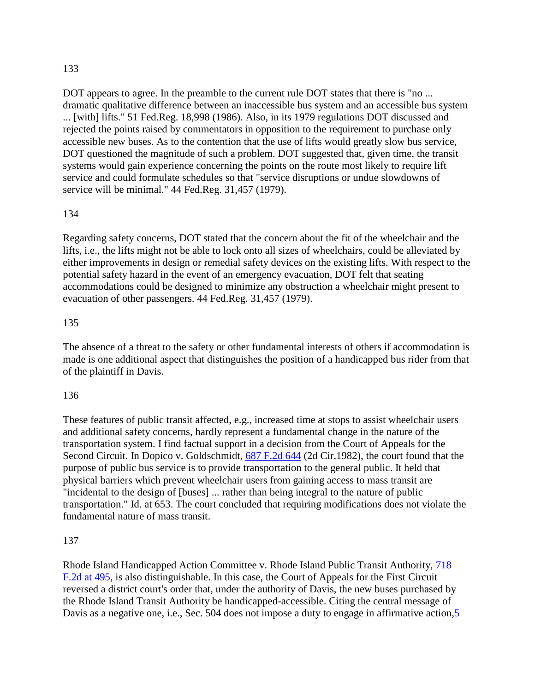DOT appears to agree. In the preamble to the current rule DOT states that there is "no ... dramatic qualitative difference between an inaccessible bus system and an accessible bus system ... [with] lifts." 51 Fed.Reg. 18,998 (1986). Also, in its 1979 regulations DOT discussed and rejected the points raised by commentators in opposition to the requirement to purchase only accessible new buses. As to the contention that the use of lifts would greatly slow bus service, DOT questioned the magnitude of such a problem. DOT suggested that, given time, the transit systems would gain experience concerning the points on the route most likely to require lift service and could formulate schedules so that "service disruptions or undue slowdowns of service will be minimal." 44 Fed.Reg. 31,457 (1979).

#### 134

Regarding safety concerns, DOT stated that the concern about the fit of the wheelchair and the lifts, i.e., the lifts might not be able to lock onto all sizes of wheelchairs, could be alleviated by either improvements in design or remedial safety devices on the existing lifts. With respect to the potential safety hazard in the event of an emergency evacuation, DOT felt that seating accommodations could be designed to minimize any obstruction a wheelchair might present to evacuation of other passengers. 44 Fed.Reg. 31,457 (1979).

#### 135

The absence of a threat to the safety or other fundamental interests of others if accommodation is made is one additional aspect that distinguishes the position of a handicapped bus rider from that of the plaintiff in Davis.

#### 136

These features of public transit affected, e.g., increased time at stops to assist wheelchair users and additional safety concerns, hardly represent a fundamental change in the nature of the transportation system. I find factual support in a decision from the Court of Appeals for the Second Circuit. In Dopico v. Goldschmidt, [687 F.2d 644](http://law.justia.com/cases/federal/appellate-courts/F2/687/644/) (2d Cir.1982), the court found that the purpose of public bus service is to provide transportation to the general public. It held that physical barriers which prevent wheelchair users from gaining access to mass transit are "incidental to the design of [buses] ... rather than being integral to the nature of public transportation." Id. at 653. The court concluded that requiring modifications does not violate the fundamental nature of mass transit.

## 137

Rhode Island Handicapped Action Committee v. Rhode Island Public Transit Authority, [718](http://law.justia.com/cases/federal/appellate-courts/F2/718/495/)  [F.2d at 495,](http://law.justia.com/cases/federal/appellate-courts/F2/718/495/) is also distinguishable. In this case, the Court of Appeals for the First Circuit reversed a district court's order that, under the authority of Davis, the new buses purchased by the Rhode Island Transit Authority be handicapped-accessible. Citing the central message of Davis as a negative one, i.e., Sec. 504 does not impose a duty to engage in affirmative action, 5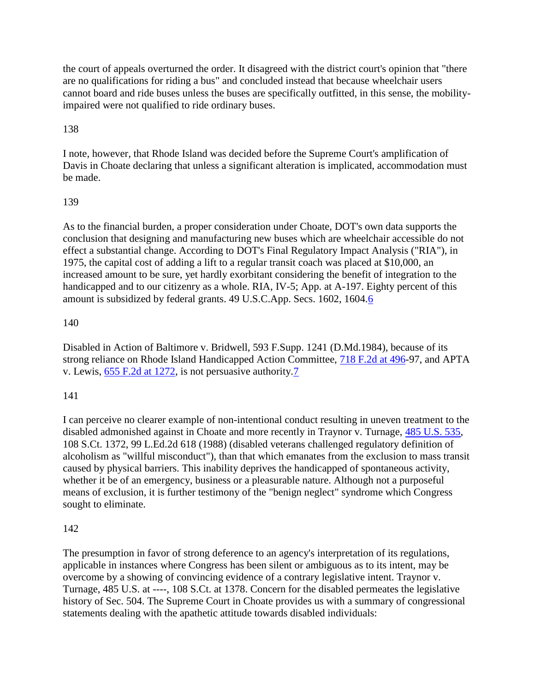the court of appeals overturned the order. It disagreed with the district court's opinion that "there are no qualifications for riding a bus" and concluded instead that because wheelchair users cannot board and ride buses unless the buses are specifically outfitted, in this sense, the mobilityimpaired were not qualified to ride ordinary buses.

# 138

I note, however, that Rhode Island was decided before the Supreme Court's amplification of Davis in Choate declaring that unless a significant alteration is implicated, accommodation must be made.

## 139

As to the financial burden, a proper consideration under Choate, DOT's own data supports the conclusion that designing and manufacturing new buses which are wheelchair accessible do not effect a substantial change. According to DOT's Final Regulatory Impact Analysis ("RIA"), in 1975, the capital cost of adding a lift to a regular transit coach was placed at \$10,000, an increased amount to be sure, yet hardly exorbitant considering the benefit of integration to the handicapped and to our citizenry as a whole. RIA, IV-5; App. at A-197. Eighty percent of this amount is subsidized by federal grants. 49 U.S.C.App. Secs. 1602, 1604[.6](http://law.justia.com/cases/federal/appellate-courts/F2/881/1184/93966/#fn6-1)

## 140

Disabled in Action of Baltimore v. Bridwell, 593 F.Supp. 1241 (D.Md.1984), because of its strong reliance on Rhode Island Handicapped Action Committee, [718 F.2d at 496-](http://law.justia.com/cases/federal/appellate-courts/F2/718/496/)97, and APTA v. Lewis, [655 F.2d at 1272,](http://law.justia.com/cases/federal/appellate-courts/F2/655/1272/) is not persuasive authority[.7](http://law.justia.com/cases/federal/appellate-courts/F2/881/1184/93966/#fn7-1)

## 141

I can perceive no clearer example of non-intentional conduct resulting in uneven treatment to the disabled admonished against in Choate and more recently in Traynor v. Turnage, [485 U.S. 535,](http://supreme.justia.com/us/485/535/) 108 S.Ct. 1372, 99 L.Ed.2d 618 (1988) (disabled veterans challenged regulatory definition of alcoholism as "willful misconduct"), than that which emanates from the exclusion to mass transit caused by physical barriers. This inability deprives the handicapped of spontaneous activity, whether it be of an emergency, business or a pleasurable nature. Although not a purposeful means of exclusion, it is further testimony of the "benign neglect" syndrome which Congress sought to eliminate.

## 142

The presumption in favor of strong deference to an agency's interpretation of its regulations, applicable in instances where Congress has been silent or ambiguous as to its intent, may be overcome by a showing of convincing evidence of a contrary legislative intent. Traynor v. Turnage, 485 U.S. at ----, 108 S.Ct. at 1378. Concern for the disabled permeates the legislative history of Sec. 504. The Supreme Court in Choate provides us with a summary of congressional statements dealing with the apathetic attitude towards disabled individuals: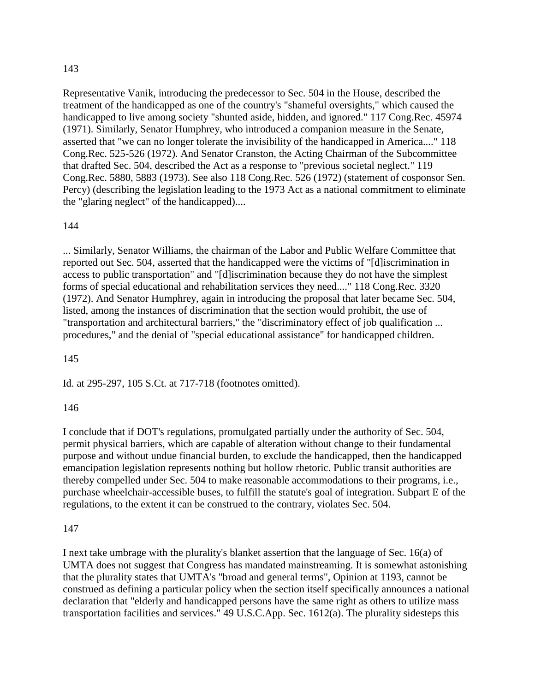Representative Vanik, introducing the predecessor to Sec. 504 in the House, described the treatment of the handicapped as one of the country's "shameful oversights," which caused the handicapped to live among society "shunted aside, hidden, and ignored." 117 Cong.Rec. 45974 (1971). Similarly, Senator Humphrey, who introduced a companion measure in the Senate, asserted that "we can no longer tolerate the invisibility of the handicapped in America...." 118 Cong.Rec. 525-526 (1972). And Senator Cranston, the Acting Chairman of the Subcommittee that drafted Sec. 504, described the Act as a response to "previous societal neglect." 119 Cong.Rec. 5880, 5883 (1973). See also 118 Cong.Rec. 526 (1972) (statement of cosponsor Sen. Percy) (describing the legislation leading to the 1973 Act as a national commitment to eliminate the "glaring neglect" of the handicapped)....

#### 144

... Similarly, Senator Williams, the chairman of the Labor and Public Welfare Committee that reported out Sec. 504, asserted that the handicapped were the victims of "[d]iscrimination in access to public transportation" and "[d]iscrimination because they do not have the simplest forms of special educational and rehabilitation services they need...." 118 Cong.Rec. 3320 (1972). And Senator Humphrey, again in introducing the proposal that later became Sec. 504, listed, among the instances of discrimination that the section would prohibit, the use of "transportation and architectural barriers," the "discriminatory effect of job qualification ... procedures," and the denial of "special educational assistance" for handicapped children.

145

Id. at 295-297, 105 S.Ct. at 717-718 (footnotes omitted).

#### 146

I conclude that if DOT's regulations, promulgated partially under the authority of Sec. 504, permit physical barriers, which are capable of alteration without change to their fundamental purpose and without undue financial burden, to exclude the handicapped, then the handicapped emancipation legislation represents nothing but hollow rhetoric. Public transit authorities are thereby compelled under Sec. 504 to make reasonable accommodations to their programs, i.e., purchase wheelchair-accessible buses, to fulfill the statute's goal of integration. Subpart E of the regulations, to the extent it can be construed to the contrary, violates Sec. 504.

#### 147

I next take umbrage with the plurality's blanket assertion that the language of Sec. 16(a) of UMTA does not suggest that Congress has mandated mainstreaming. It is somewhat astonishing that the plurality states that UMTA's "broad and general terms", Opinion at 1193, cannot be construed as defining a particular policy when the section itself specifically announces a national declaration that "elderly and handicapped persons have the same right as others to utilize mass transportation facilities and services." 49 U.S.C.App. Sec. 1612(a). The plurality sidesteps this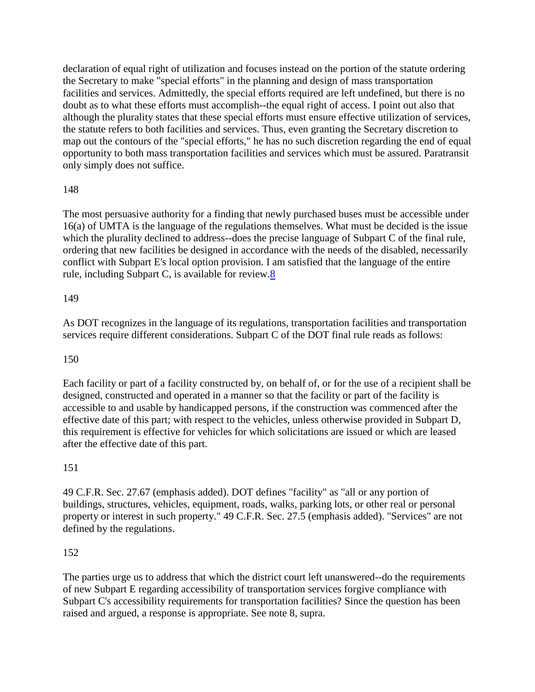declaration of equal right of utilization and focuses instead on the portion of the statute ordering the Secretary to make "special efforts" in the planning and design of mass transportation facilities and services. Admittedly, the special efforts required are left undefined, but there is no doubt as to what these efforts must accomplish--the equal right of access. I point out also that although the plurality states that these special efforts must ensure effective utilization of services, the statute refers to both facilities and services. Thus, even granting the Secretary discretion to map out the contours of the "special efforts," he has no such discretion regarding the end of equal opportunity to both mass transportation facilities and services which must be assured. Paratransit only simply does not suffice.

# 148

The most persuasive authority for a finding that newly purchased buses must be accessible under 16(a) of UMTA is the language of the regulations themselves. What must be decided is the issue which the plurality declined to address--does the precise language of Subpart C of the final rule, ordering that new facilities be designed in accordance with the needs of the disabled, necessarily conflict with Subpart E's local option provision. I am satisfied that the language of the entire rule, including Subpart C, is available for review[.8](http://law.justia.com/cases/federal/appellate-courts/F2/881/1184/93966/#fn8-1)

## 149

As DOT recognizes in the language of its regulations, transportation facilities and transportation services require different considerations. Subpart C of the DOT final rule reads as follows:

## 150

Each facility or part of a facility constructed by, on behalf of, or for the use of a recipient shall be designed, constructed and operated in a manner so that the facility or part of the facility is accessible to and usable by handicapped persons, if the construction was commenced after the effective date of this part; with respect to the vehicles, unless otherwise provided in Subpart D, this requirement is effective for vehicles for which solicitations are issued or which are leased after the effective date of this part.

## 151

49 C.F.R. Sec. 27.67 (emphasis added). DOT defines "facility" as "all or any portion of buildings, structures, vehicles, equipment, roads, walks, parking lots, or other real or personal property or interest in such property." 49 C.F.R. Sec. 27.5 (emphasis added). "Services" are not defined by the regulations.

# 152

The parties urge us to address that which the district court left unanswered--do the requirements of new Subpart E regarding accessibility of transportation services forgive compliance with Subpart C's accessibility requirements for transportation facilities? Since the question has been raised and argued, a response is appropriate. See note 8, supra.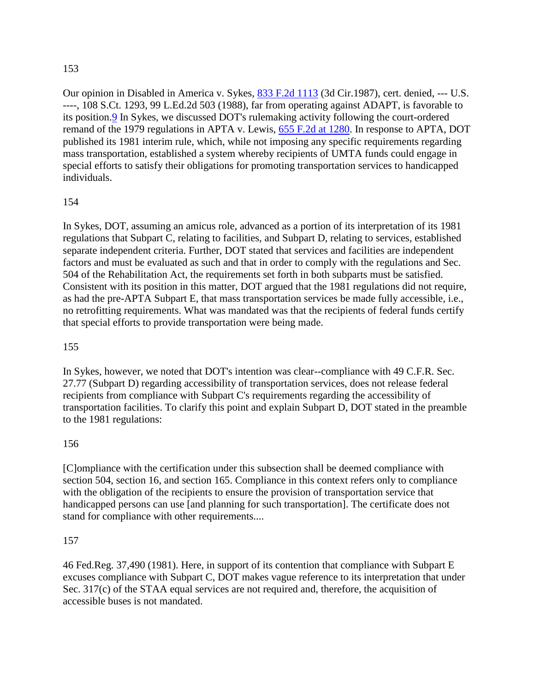Our opinion in Disabled in America v. Sykes, [833 F.2d 1113](http://law.justia.com/cases/federal/appellate-courts/F2/833/1113/) (3d Cir.1987), cert. denied, --- U.S. ----, 108 S.Ct. 1293, 99 L.Ed.2d 503 (1988), far from operating against ADAPT, is favorable to its position[.9](http://law.justia.com/cases/federal/appellate-courts/F2/881/1184/93966/#fn9-1) In Sykes, we discussed DOT's rulemaking activity following the court-ordered remand of the 1979 regulations in APTA v. Lewis, [655 F.2d at 1280.](http://law.justia.com/cases/federal/appellate-courts/F2/655/1280/) In response to APTA, DOT published its 1981 interim rule, which, while not imposing any specific requirements regarding mass transportation, established a system whereby recipients of UMTA funds could engage in special efforts to satisfy their obligations for promoting transportation services to handicapped individuals.

# 154

In Sykes, DOT, assuming an amicus role, advanced as a portion of its interpretation of its 1981 regulations that Subpart C, relating to facilities, and Subpart D, relating to services, established separate independent criteria. Further, DOT stated that services and facilities are independent factors and must be evaluated as such and that in order to comply with the regulations and Sec. 504 of the Rehabilitation Act, the requirements set forth in both subparts must be satisfied. Consistent with its position in this matter, DOT argued that the 1981 regulations did not require, as had the pre-APTA Subpart E, that mass transportation services be made fully accessible, i.e., no retrofitting requirements. What was mandated was that the recipients of federal funds certify that special efforts to provide transportation were being made.

## 155

In Sykes, however, we noted that DOT's intention was clear--compliance with 49 C.F.R. Sec. 27.77 (Subpart D) regarding accessibility of transportation services, does not release federal recipients from compliance with Subpart C's requirements regarding the accessibility of transportation facilities. To clarify this point and explain Subpart D, DOT stated in the preamble to the 1981 regulations:

## 156

[C]ompliance with the certification under this subsection shall be deemed compliance with section 504, section 16, and section 165. Compliance in this context refers only to compliance with the obligation of the recipients to ensure the provision of transportation service that handicapped persons can use [and planning for such transportation]. The certificate does not stand for compliance with other requirements....

## 157

46 Fed.Reg. 37,490 (1981). Here, in support of its contention that compliance with Subpart E excuses compliance with Subpart C, DOT makes vague reference to its interpretation that under Sec. 317(c) of the STAA equal services are not required and, therefore, the acquisition of accessible buses is not mandated.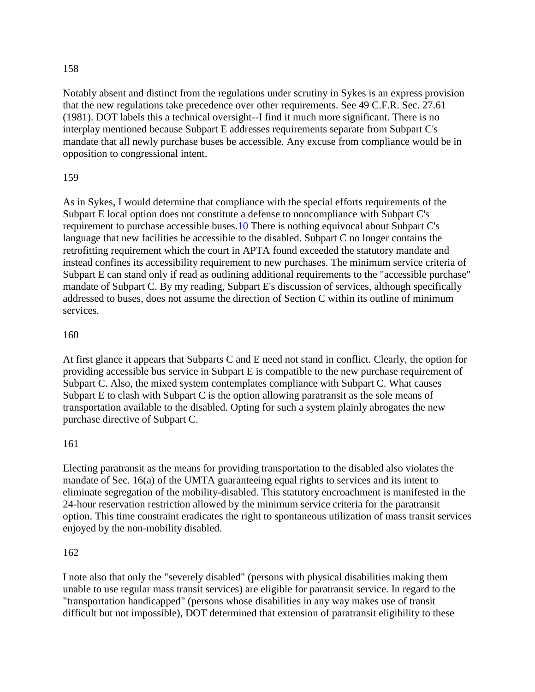Notably absent and distinct from the regulations under scrutiny in Sykes is an express provision that the new regulations take precedence over other requirements. See 49 C.F.R. Sec. 27.61 (1981). DOT labels this a technical oversight--I find it much more significant. There is no interplay mentioned because Subpart E addresses requirements separate from Subpart C's mandate that all newly purchase buses be accessible. Any excuse from compliance would be in opposition to congressional intent.

#### 159

As in Sykes, I would determine that compliance with the special efforts requirements of the Subpart E local option does not constitute a defense to noncompliance with Subpart C's requirement to purchase accessible buses[.10](http://law.justia.com/cases/federal/appellate-courts/F2/881/1184/93966/#fn10-1) There is nothing equivocal about Subpart C's language that new facilities be accessible to the disabled. Subpart C no longer contains the retrofitting requirement which the court in APTA found exceeded the statutory mandate and instead confines its accessibility requirement to new purchases. The minimum service criteria of Subpart E can stand only if read as outlining additional requirements to the "accessible purchase" mandate of Subpart C. By my reading, Subpart E's discussion of services, although specifically addressed to buses, does not assume the direction of Section C within its outline of minimum services.

#### 160

At first glance it appears that Subparts C and E need not stand in conflict. Clearly, the option for providing accessible bus service in Subpart E is compatible to the new purchase requirement of Subpart C. Also, the mixed system contemplates compliance with Subpart C. What causes Subpart E to clash with Subpart C is the option allowing paratransit as the sole means of transportation available to the disabled. Opting for such a system plainly abrogates the new purchase directive of Subpart C.

#### 161

Electing paratransit as the means for providing transportation to the disabled also violates the mandate of Sec. 16(a) of the UMTA guaranteeing equal rights to services and its intent to eliminate segregation of the mobility-disabled. This statutory encroachment is manifested in the 24-hour reservation restriction allowed by the minimum service criteria for the paratransit option. This time constraint eradicates the right to spontaneous utilization of mass transit services enjoyed by the non-mobility disabled.

#### 162

I note also that only the "severely disabled" (persons with physical disabilities making them unable to use regular mass transit services) are eligible for paratransit service. In regard to the "transportation handicapped" (persons whose disabilities in any way makes use of transit difficult but not impossible), DOT determined that extension of paratransit eligibility to these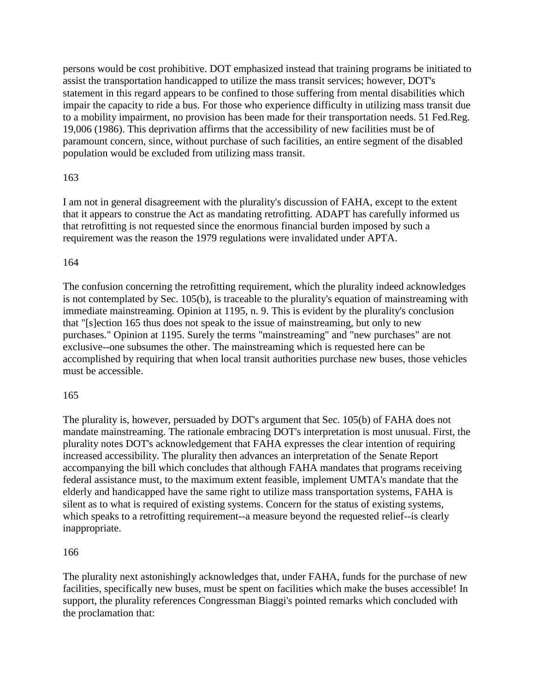persons would be cost prohibitive. DOT emphasized instead that training programs be initiated to assist the transportation handicapped to utilize the mass transit services; however, DOT's statement in this regard appears to be confined to those suffering from mental disabilities which impair the capacity to ride a bus. For those who experience difficulty in utilizing mass transit due to a mobility impairment, no provision has been made for their transportation needs. 51 Fed.Reg. 19,006 (1986). This deprivation affirms that the accessibility of new facilities must be of paramount concern, since, without purchase of such facilities, an entire segment of the disabled population would be excluded from utilizing mass transit.

## 163

I am not in general disagreement with the plurality's discussion of FAHA, except to the extent that it appears to construe the Act as mandating retrofitting. ADAPT has carefully informed us that retrofitting is not requested since the enormous financial burden imposed by such a requirement was the reason the 1979 regulations were invalidated under APTA.

## 164

The confusion concerning the retrofitting requirement, which the plurality indeed acknowledges is not contemplated by Sec. 105(b), is traceable to the plurality's equation of mainstreaming with immediate mainstreaming. Opinion at 1195, n. 9. This is evident by the plurality's conclusion that "[s]ection 165 thus does not speak to the issue of mainstreaming, but only to new purchases." Opinion at 1195. Surely the terms "mainstreaming" and "new purchases" are not exclusive--one subsumes the other. The mainstreaming which is requested here can be accomplished by requiring that when local transit authorities purchase new buses, those vehicles must be accessible.

## 165

The plurality is, however, persuaded by DOT's argument that Sec. 105(b) of FAHA does not mandate mainstreaming. The rationale embracing DOT's interpretation is most unusual. First, the plurality notes DOT's acknowledgement that FAHA expresses the clear intention of requiring increased accessibility. The plurality then advances an interpretation of the Senate Report accompanying the bill which concludes that although FAHA mandates that programs receiving federal assistance must, to the maximum extent feasible, implement UMTA's mandate that the elderly and handicapped have the same right to utilize mass transportation systems, FAHA is silent as to what is required of existing systems. Concern for the status of existing systems, which speaks to a retrofitting requirement--a measure beyond the requested relief--is clearly inappropriate.

## 166

The plurality next astonishingly acknowledges that, under FAHA, funds for the purchase of new facilities, specifically new buses, must be spent on facilities which make the buses accessible! In support, the plurality references Congressman Biaggi's pointed remarks which concluded with the proclamation that: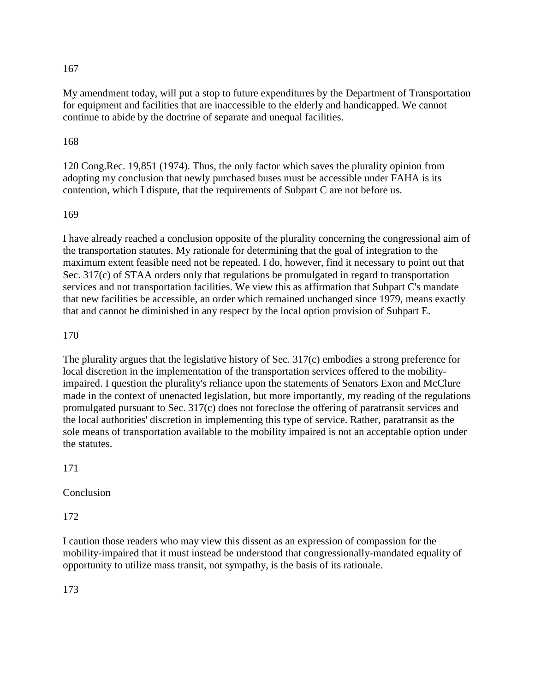My amendment today, will put a stop to future expenditures by the Department of Transportation for equipment and facilities that are inaccessible to the elderly and handicapped. We cannot continue to abide by the doctrine of separate and unequal facilities.

#### 168

120 Cong.Rec. 19,851 (1974). Thus, the only factor which saves the plurality opinion from adopting my conclusion that newly purchased buses must be accessible under FAHA is its contention, which I dispute, that the requirements of Subpart C are not before us.

#### 169

I have already reached a conclusion opposite of the plurality concerning the congressional aim of the transportation statutes. My rationale for determining that the goal of integration to the maximum extent feasible need not be repeated. I do, however, find it necessary to point out that Sec. 317(c) of STAA orders only that regulations be promulgated in regard to transportation services and not transportation facilities. We view this as affirmation that Subpart C's mandate that new facilities be accessible, an order which remained unchanged since 1979, means exactly that and cannot be diminished in any respect by the local option provision of Subpart E.

#### 170

The plurality argues that the legislative history of Sec. 317(c) embodies a strong preference for local discretion in the implementation of the transportation services offered to the mobilityimpaired. I question the plurality's reliance upon the statements of Senators Exon and McClure made in the context of unenacted legislation, but more importantly, my reading of the regulations promulgated pursuant to Sec. 317(c) does not foreclose the offering of paratransit services and the local authorities' discretion in implementing this type of service. Rather, paratransit as the sole means of transportation available to the mobility impaired is not an acceptable option under the statutes.

#### 171

Conclusion

172

I caution those readers who may view this dissent as an expression of compassion for the mobility-impaired that it must instead be understood that congressionally-mandated equality of opportunity to utilize mass transit, not sympathy, is the basis of its rationale.

173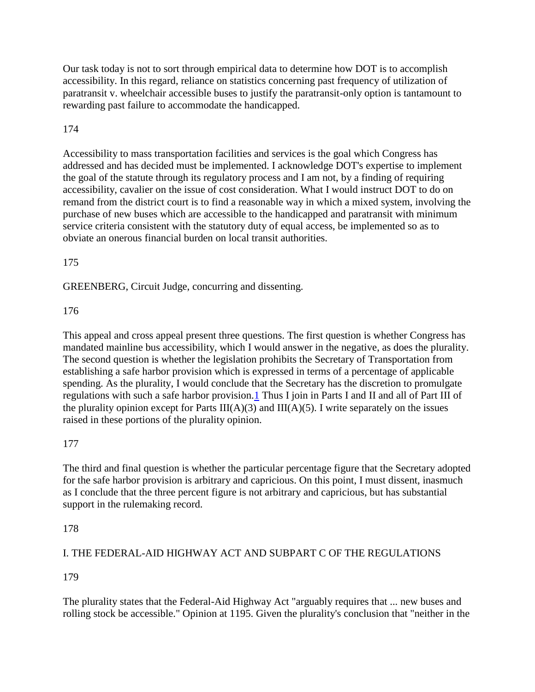Our task today is not to sort through empirical data to determine how DOT is to accomplish accessibility. In this regard, reliance on statistics concerning past frequency of utilization of paratransit v. wheelchair accessible buses to justify the paratransit-only option is tantamount to rewarding past failure to accommodate the handicapped.

# 174

Accessibility to mass transportation facilities and services is the goal which Congress has addressed and has decided must be implemented. I acknowledge DOT's expertise to implement the goal of the statute through its regulatory process and I am not, by a finding of requiring accessibility, cavalier on the issue of cost consideration. What I would instruct DOT to do on remand from the district court is to find a reasonable way in which a mixed system, involving the purchase of new buses which are accessible to the handicapped and paratransit with minimum service criteria consistent with the statutory duty of equal access, be implemented so as to obviate an onerous financial burden on local transit authorities.

## 175

GREENBERG, Circuit Judge, concurring and dissenting.

# 176

This appeal and cross appeal present three questions. The first question is whether Congress has mandated mainline bus accessibility, which I would answer in the negative, as does the plurality. The second question is whether the legislation prohibits the Secretary of Transportation from establishing a safe harbor provision which is expressed in terms of a percentage of applicable spending. As the plurality, I would conclude that the Secretary has the discretion to promulgate regulations with such a safe harbor provision[.1](http://law.justia.com/cases/federal/appellate-courts/F2/881/1184/93966/#fn1-3) Thus I join in Parts I and II and all of Part III of the plurality opinion except for Parts  $III(A)(3)$  and  $III(A)(5)$ . I write separately on the issues raised in these portions of the plurality opinion.

## 177

The third and final question is whether the particular percentage figure that the Secretary adopted for the safe harbor provision is arbitrary and capricious. On this point, I must dissent, inasmuch as I conclude that the three percent figure is not arbitrary and capricious, but has substantial support in the rulemaking record.

## 178

# I. THE FEDERAL-AID HIGHWAY ACT AND SUBPART C OF THE REGULATIONS

## 179

The plurality states that the Federal-Aid Highway Act "arguably requires that ... new buses and rolling stock be accessible." Opinion at 1195. Given the plurality's conclusion that "neither in the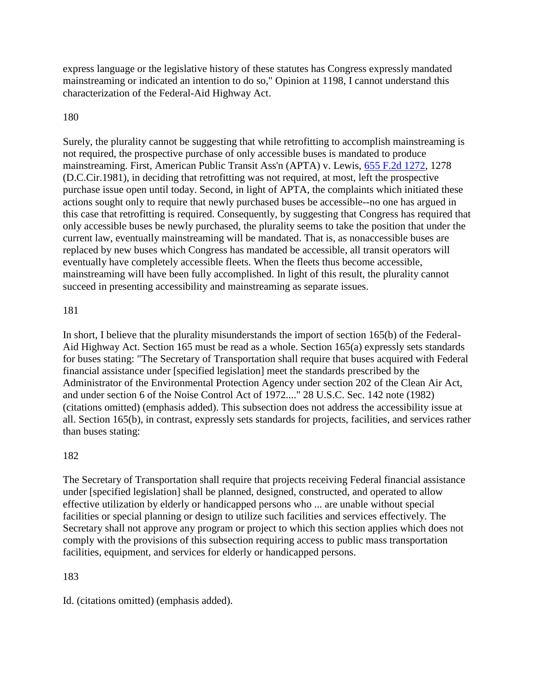express language or the legislative history of these statutes has Congress expressly mandated mainstreaming or indicated an intention to do so," Opinion at 1198, I cannot understand this characterization of the Federal-Aid Highway Act.

## 180

Surely, the plurality cannot be suggesting that while retrofitting to accomplish mainstreaming is not required, the prospective purchase of only accessible buses is mandated to produce mainstreaming. First, American Public Transit Ass'n (APTA) v. Lewis, [655 F.2d 1272,](http://law.justia.com/cases/federal/appellate-courts/F2/655/1272/) 1278 (D.C.Cir.1981), in deciding that retrofitting was not required, at most, left the prospective purchase issue open until today. Second, in light of APTA, the complaints which initiated these actions sought only to require that newly purchased buses be accessible--no one has argued in this case that retrofitting is required. Consequently, by suggesting that Congress has required that only accessible buses be newly purchased, the plurality seems to take the position that under the current law, eventually mainstreaming will be mandated. That is, as nonaccessible buses are replaced by new buses which Congress has mandated be accessible, all transit operators will eventually have completely accessible fleets. When the fleets thus become accessible, mainstreaming will have been fully accomplished. In light of this result, the plurality cannot succeed in presenting accessibility and mainstreaming as separate issues.

#### 181

In short, I believe that the plurality misunderstands the import of section 165(b) of the Federal-Aid Highway Act. Section 165 must be read as a whole. Section 165(a) expressly sets standards for buses stating: "The Secretary of Transportation shall require that buses acquired with Federal financial assistance under [specified legislation] meet the standards prescribed by the Administrator of the Environmental Protection Agency under section 202 of the Clean Air Act, and under section 6 of the Noise Control Act of 1972...." 28 U.S.C. Sec. 142 note (1982) (citations omitted) (emphasis added). This subsection does not address the accessibility issue at all. Section 165(b), in contrast, expressly sets standards for projects, facilities, and services rather than buses stating:

## 182

The Secretary of Transportation shall require that projects receiving Federal financial assistance under [specified legislation] shall be planned, designed, constructed, and operated to allow effective utilization by elderly or handicapped persons who ... are unable without special facilities or special planning or design to utilize such facilities and services effectively. The Secretary shall not approve any program or project to which this section applies which does not comply with the provisions of this subsection requiring access to public mass transportation facilities, equipment, and services for elderly or handicapped persons.

## 183

Id. (citations omitted) (emphasis added).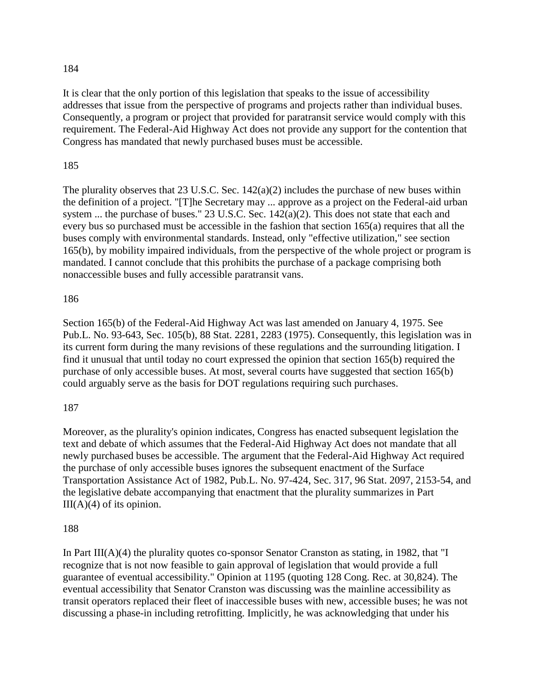It is clear that the only portion of this legislation that speaks to the issue of accessibility addresses that issue from the perspective of programs and projects rather than individual buses. Consequently, a program or project that provided for paratransit service would comply with this requirement. The Federal-Aid Highway Act does not provide any support for the contention that Congress has mandated that newly purchased buses must be accessible.

### 185

The plurality observes that 23 U.S.C. Sec. 142(a)(2) includes the purchase of new buses within the definition of a project. "[T]he Secretary may ... approve as a project on the Federal-aid urban system ... the purchase of buses." 23 U.S.C. Sec. 142(a)(2). This does not state that each and every bus so purchased must be accessible in the fashion that section 165(a) requires that all the buses comply with environmental standards. Instead, only "effective utilization," see section 165(b), by mobility impaired individuals, from the perspective of the whole project or program is mandated. I cannot conclude that this prohibits the purchase of a package comprising both nonaccessible buses and fully accessible paratransit vans.

#### 186

Section 165(b) of the Federal-Aid Highway Act was last amended on January 4, 1975. See Pub.L. No. 93-643, Sec. 105(b), 88 Stat. 2281, 2283 (1975). Consequently, this legislation was in its current form during the many revisions of these regulations and the surrounding litigation. I find it unusual that until today no court expressed the opinion that section 165(b) required the purchase of only accessible buses. At most, several courts have suggested that section 165(b) could arguably serve as the basis for DOT regulations requiring such purchases.

#### 187

Moreover, as the plurality's opinion indicates, Congress has enacted subsequent legislation the text and debate of which assumes that the Federal-Aid Highway Act does not mandate that all newly purchased buses be accessible. The argument that the Federal-Aid Highway Act required the purchase of only accessible buses ignores the subsequent enactment of the Surface Transportation Assistance Act of 1982, Pub.L. No. 97-424, Sec. 317, 96 Stat. 2097, 2153-54, and the legislative debate accompanying that enactment that the plurality summarizes in Part  $III(A)(4)$  of its opinion.

#### 188

In Part III( $A$ )(4) the plurality quotes co-sponsor Senator Cranston as stating, in 1982, that "I recognize that is not now feasible to gain approval of legislation that would provide a full guarantee of eventual accessibility." Opinion at 1195 (quoting 128 Cong. Rec. at 30,824). The eventual accessibility that Senator Cranston was discussing was the mainline accessibility as transit operators replaced their fleet of inaccessible buses with new, accessible buses; he was not discussing a phase-in including retrofitting. Implicitly, he was acknowledging that under his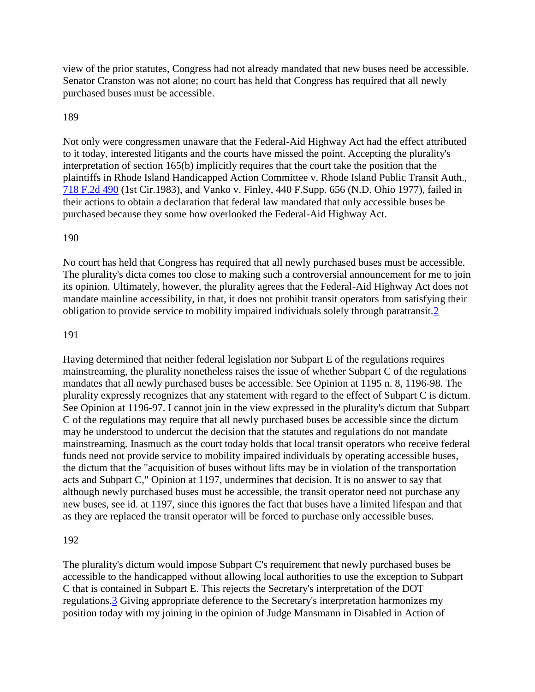view of the prior statutes, Congress had not already mandated that new buses need be accessible. Senator Cranston was not alone; no court has held that Congress has required that all newly purchased buses must be accessible.

#### 189

Not only were congressmen unaware that the Federal-Aid Highway Act had the effect attributed to it today, interested litigants and the courts have missed the point. Accepting the plurality's interpretation of section 165(b) implicitly requires that the court take the position that the plaintiffs in Rhode Island Handicapped Action Committee v. Rhode Island Public Transit Auth., [718 F.2d 490](http://law.justia.com/cases/federal/appellate-courts/F2/718/490/) (1st Cir.1983), and Vanko v. Finley, 440 F.Supp. 656 (N.D. Ohio 1977), failed in their actions to obtain a declaration that federal law mandated that only accessible buses be purchased because they some how overlooked the Federal-Aid Highway Act.

#### 190

No court has held that Congress has required that all newly purchased buses must be accessible. The plurality's dicta comes too close to making such a controversial announcement for me to join its opinion. Ultimately, however, the plurality agrees that the Federal-Aid Highway Act does not mandate mainline accessibility, in that, it does not prohibit transit operators from satisfying their obligation to provide service to mobility impaired individuals solely through paratransit[.2](http://law.justia.com/cases/federal/appellate-courts/F2/881/1184/93966/#fn2-2)

#### 191

Having determined that neither federal legislation nor Subpart E of the regulations requires mainstreaming, the plurality nonetheless raises the issue of whether Subpart C of the regulations mandates that all newly purchased buses be accessible. See Opinion at 1195 n. 8, 1196-98. The plurality expressly recognizes that any statement with regard to the effect of Subpart C is dictum. See Opinion at 1196-97. I cannot join in the view expressed in the plurality's dictum that Subpart C of the regulations may require that all newly purchased buses be accessible since the dictum may be understood to undercut the decision that the statutes and regulations do not mandate mainstreaming. Inasmuch as the court today holds that local transit operators who receive federal funds need not provide service to mobility impaired individuals by operating accessible buses, the dictum that the "acquisition of buses without lifts may be in violation of the transportation acts and Subpart C," Opinion at 1197, undermines that decision. It is no answer to say that although newly purchased buses must be accessible, the transit operator need not purchase any new buses, see id. at 1197, since this ignores the fact that buses have a limited lifespan and that as they are replaced the transit operator will be forced to purchase only accessible buses.

#### 192

The plurality's dictum would impose Subpart C's requirement that newly purchased buses be accessible to the handicapped without allowing local authorities to use the exception to Subpart C that is contained in Subpart E. This rejects the Secretary's interpretation of the DOT regulations[.3](http://law.justia.com/cases/federal/appellate-courts/F2/881/1184/93966/#fn3-2) Giving appropriate deference to the Secretary's interpretation harmonizes my position today with my joining in the opinion of Judge Mansmann in Disabled in Action of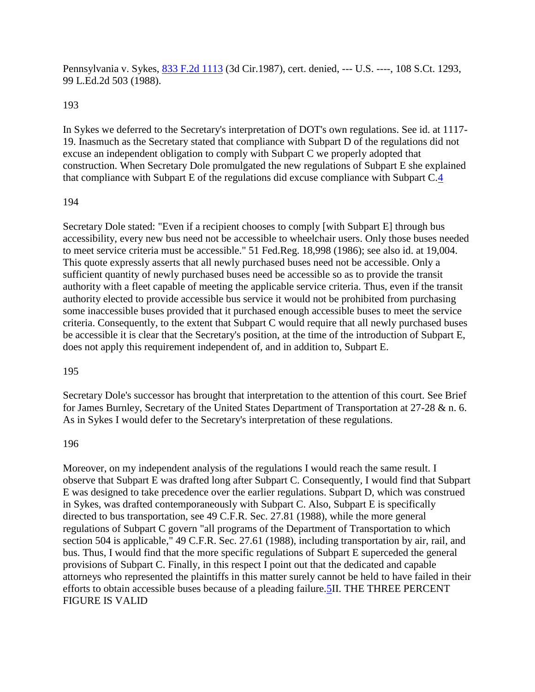Pennsylvania v. Sykes, [833 F.2d 1113](http://law.justia.com/cases/federal/appellate-courts/F2/833/1113/) (3d Cir.1987), cert. denied, --- U.S. ----, 108 S.Ct. 1293, 99 L.Ed.2d 503 (1988).

#### 193

In Sykes we deferred to the Secretary's interpretation of DOT's own regulations. See id. at 1117- 19. Inasmuch as the Secretary stated that compliance with Subpart D of the regulations did not excuse an independent obligation to comply with Subpart C we properly adopted that construction. When Secretary Dole promulgated the new regulations of Subpart E she explained that compliance with Subpart E of the regulations did excuse compliance with Subpart C[.4](http://law.justia.com/cases/federal/appellate-courts/F2/881/1184/93966/#fn4-3)

#### 194

Secretary Dole stated: "Even if a recipient chooses to comply [with Subpart E] through bus accessibility, every new bus need not be accessible to wheelchair users. Only those buses needed to meet service criteria must be accessible." 51 Fed.Reg. 18,998 (1986); see also id. at 19,004. This quote expressly asserts that all newly purchased buses need not be accessible. Only a sufficient quantity of newly purchased buses need be accessible so as to provide the transit authority with a fleet capable of meeting the applicable service criteria. Thus, even if the transit authority elected to provide accessible bus service it would not be prohibited from purchasing some inaccessible buses provided that it purchased enough accessible buses to meet the service criteria. Consequently, to the extent that Subpart C would require that all newly purchased buses be accessible it is clear that the Secretary's position, at the time of the introduction of Subpart E, does not apply this requirement independent of, and in addition to, Subpart E.

#### 195

Secretary Dole's successor has brought that interpretation to the attention of this court. See Brief for James Burnley, Secretary of the United States Department of Transportation at 27-28 & n. 6. As in Sykes I would defer to the Secretary's interpretation of these regulations.

#### 196

Moreover, on my independent analysis of the regulations I would reach the same result. I observe that Subpart E was drafted long after Subpart C. Consequently, I would find that Subpart E was designed to take precedence over the earlier regulations. Subpart D, which was construed in Sykes, was drafted contemporaneously with Subpart C. Also, Subpart E is specifically directed to bus transportation, see 49 C.F.R. Sec. 27.81 (1988), while the more general regulations of Subpart C govern "all programs of the Department of Transportation to which section 504 is applicable, 49 C.F.R. Sec. 27.61 (1988), including transportation by air, rail, and bus. Thus, I would find that the more specific regulations of Subpart E superceded the general provisions of Subpart C. Finally, in this respect I point out that the dedicated and capable attorneys who represented the plaintiffs in this matter surely cannot be held to have failed in their efforts to obtain accessible buses because of a pleading failure.<sup>5</sup>II. THE THREE PERCENT FIGURE IS VALID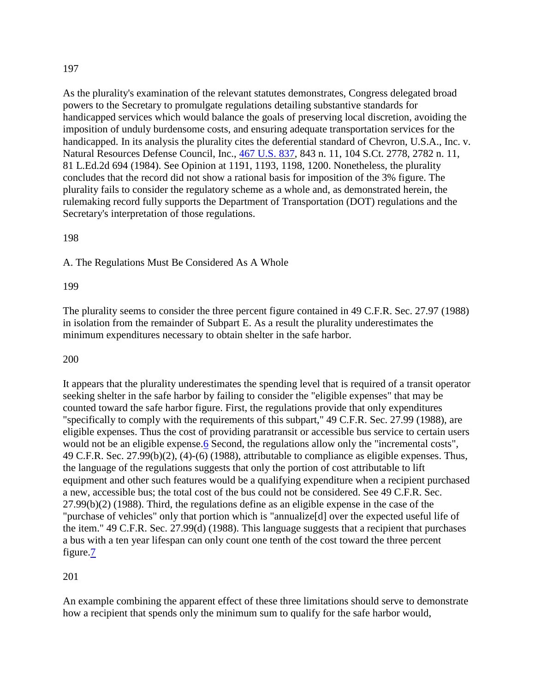As the plurality's examination of the relevant statutes demonstrates, Congress delegated broad powers to the Secretary to promulgate regulations detailing substantive standards for handicapped services which would balance the goals of preserving local discretion, avoiding the imposition of unduly burdensome costs, and ensuring adequate transportation services for the handicapped. In its analysis the plurality cites the deferential standard of Chevron, U.S.A., Inc. v. Natural Resources Defense Council, Inc., [467 U.S. 837,](http://supreme.justia.com/us/467/837/) 843 n. 11, 104 S.Ct. 2778, 2782 n. 11, 81 L.Ed.2d 694 (1984). See Opinion at 1191, 1193, 1198, 1200. Nonetheless, the plurality concludes that the record did not show a rational basis for imposition of the 3% figure. The plurality fails to consider the regulatory scheme as a whole and, as demonstrated herein, the rulemaking record fully supports the Department of Transportation (DOT) regulations and the Secretary's interpretation of those regulations.

#### 198

A. The Regulations Must Be Considered As A Whole

#### 199

The plurality seems to consider the three percent figure contained in 49 C.F.R. Sec. 27.97 (1988) in isolation from the remainder of Subpart E. As a result the plurality underestimates the minimum expenditures necessary to obtain shelter in the safe harbor.

#### 200

It appears that the plurality underestimates the spending level that is required of a transit operator seeking shelter in the safe harbor by failing to consider the "eligible expenses" that may be counted toward the safe harbor figure. First, the regulations provide that only expenditures "specifically to comply with the requirements of this subpart," 49 C.F.R. Sec. 27.99 (1988), are eligible expenses. Thus the cost of providing paratransit or accessible bus service to certain users would not be an eligible expense. 6 Second, the regulations allow only the "incremental costs", 49 C.F.R. Sec. 27.99(b)(2), (4)-(6) (1988), attributable to compliance as eligible expenses. Thus, the language of the regulations suggests that only the portion of cost attributable to lift equipment and other such features would be a qualifying expenditure when a recipient purchased a new, accessible bus; the total cost of the bus could not be considered. See 49 C.F.R. Sec. 27.99(b)(2) (1988). Third, the regulations define as an eligible expense in the case of the "purchase of vehicles" only that portion which is "annualize[d] over the expected useful life of the item." 49 C.F.R. Sec. 27.99(d) (1988). This language suggests that a recipient that purchases a bus with a ten year lifespan can only count one tenth of the cost toward the three percent figure[.7](http://law.justia.com/cases/federal/appellate-courts/F2/881/1184/93966/#fn7-2)

#### 201

An example combining the apparent effect of these three limitations should serve to demonstrate how a recipient that spends only the minimum sum to qualify for the safe harbor would,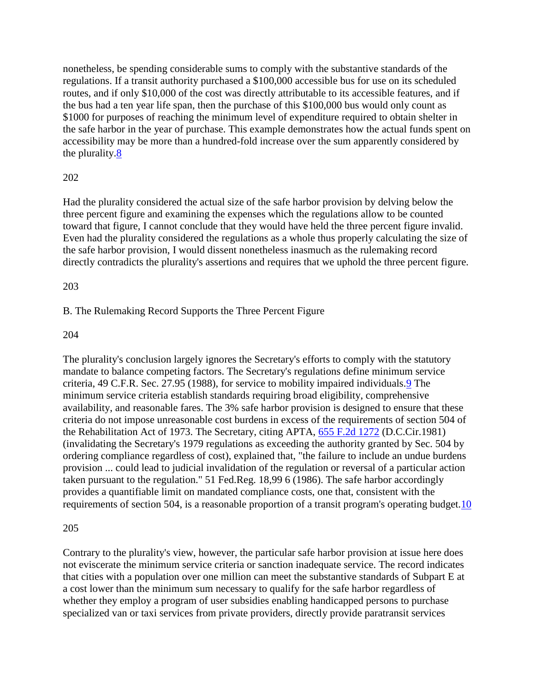nonetheless, be spending considerable sums to comply with the substantive standards of the regulations. If a transit authority purchased a \$100,000 accessible bus for use on its scheduled routes, and if only \$10,000 of the cost was directly attributable to its accessible features, and if the bus had a ten year life span, then the purchase of this \$100,000 bus would only count as \$1000 for purposes of reaching the minimum level of expenditure required to obtain shelter in the safe harbor in the year of purchase. This example demonstrates how the actual funds spent on accessibility may be more than a hundred-fold increase over the sum apparently considered by the plurality[.8](http://law.justia.com/cases/federal/appellate-courts/F2/881/1184/93966/#fn8-2)

## 202

Had the plurality considered the actual size of the safe harbor provision by delving below the three percent figure and examining the expenses which the regulations allow to be counted toward that figure, I cannot conclude that they would have held the three percent figure invalid. Even had the plurality considered the regulations as a whole thus properly calculating the size of the safe harbor provision, I would dissent nonetheless inasmuch as the rulemaking record directly contradicts the plurality's assertions and requires that we uphold the three percent figure.

#### 203

#### B. The Rulemaking Record Supports the Three Percent Figure

#### 204

The plurality's conclusion largely ignores the Secretary's efforts to comply with the statutory mandate to balance competing factors. The Secretary's regulations define minimum service criteria, 49 C.F.R. Sec. 27.95 (1988), for service to mobility impaired individuals[.9](http://law.justia.com/cases/federal/appellate-courts/F2/881/1184/93966/#fn9-2) The minimum service criteria establish standards requiring broad eligibility, comprehensive availability, and reasonable fares. The 3% safe harbor provision is designed to ensure that these criteria do not impose unreasonable cost burdens in excess of the requirements of section 504 of the Rehabilitation Act of 1973. The Secretary, citing APTA, [655 F.2d 1272](http://law.justia.com/cases/federal/appellate-courts/F2/655/1272/) (D.C.Cir.1981) (invalidating the Secretary's 1979 regulations as exceeding the authority granted by Sec. 504 by ordering compliance regardless of cost), explained that, "the failure to include an undue burdens provision ... could lead to judicial invalidation of the regulation or reversal of a particular action taken pursuant to the regulation." 51 Fed.Reg. 18,99 6 (1986). The safe harbor accordingly provides a quantifiable limit on mandated compliance costs, one that, consistent with the requirements of section 504, is a reasonable proportion of a transit program's operating budget.<sup>10</sup>

#### 205

Contrary to the plurality's view, however, the particular safe harbor provision at issue here does not eviscerate the minimum service criteria or sanction inadequate service. The record indicates that cities with a population over one million can meet the substantive standards of Subpart E at a cost lower than the minimum sum necessary to qualify for the safe harbor regardless of whether they employ a program of user subsidies enabling handicapped persons to purchase specialized van or taxi services from private providers, directly provide paratransit services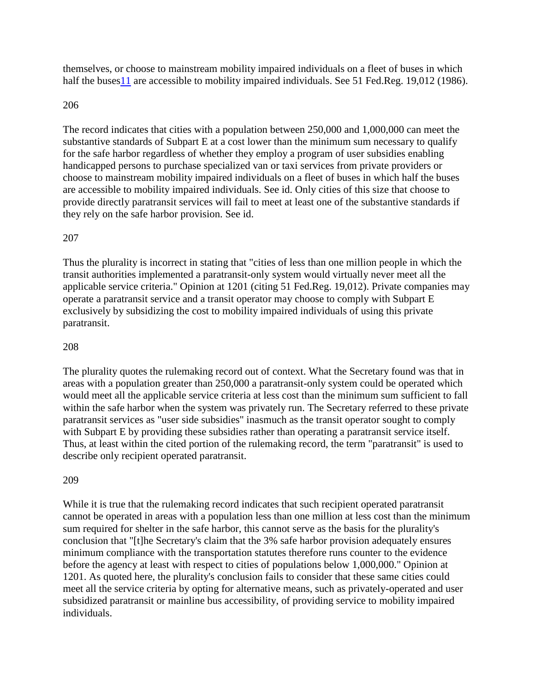themselves, or choose to mainstream mobility impaired individuals on a fleet of buses in which half the buses 11 are accessible to mobility impaired individuals. See 51 Fed.Reg. 19,012 (1986).

#### 206

The record indicates that cities with a population between 250,000 and 1,000,000 can meet the substantive standards of Subpart E at a cost lower than the minimum sum necessary to qualify for the safe harbor regardless of whether they employ a program of user subsidies enabling handicapped persons to purchase specialized van or taxi services from private providers or choose to mainstream mobility impaired individuals on a fleet of buses in which half the buses are accessible to mobility impaired individuals. See id. Only cities of this size that choose to provide directly paratransit services will fail to meet at least one of the substantive standards if they rely on the safe harbor provision. See id.

#### 207

Thus the plurality is incorrect in stating that "cities of less than one million people in which the transit authorities implemented a paratransit-only system would virtually never meet all the applicable service criteria." Opinion at 1201 (citing 51 Fed.Reg. 19,012). Private companies may operate a paratransit service and a transit operator may choose to comply with Subpart E exclusively by subsidizing the cost to mobility impaired individuals of using this private paratransit.

#### 208

The plurality quotes the rulemaking record out of context. What the Secretary found was that in areas with a population greater than 250,000 a paratransit-only system could be operated which would meet all the applicable service criteria at less cost than the minimum sum sufficient to fall within the safe harbor when the system was privately run. The Secretary referred to these private paratransit services as "user side subsidies" inasmuch as the transit operator sought to comply with Subpart E by providing these subsidies rather than operating a paratransit service itself. Thus, at least within the cited portion of the rulemaking record, the term "paratransit" is used to describe only recipient operated paratransit.

#### 209

While it is true that the rulemaking record indicates that such recipient operated paratransit cannot be operated in areas with a population less than one million at less cost than the minimum sum required for shelter in the safe harbor, this cannot serve as the basis for the plurality's conclusion that "[t]he Secretary's claim that the 3% safe harbor provision adequately ensures minimum compliance with the transportation statutes therefore runs counter to the evidence before the agency at least with respect to cities of populations below 1,000,000." Opinion at 1201. As quoted here, the plurality's conclusion fails to consider that these same cities could meet all the service criteria by opting for alternative means, such as privately-operated and user subsidized paratransit or mainline bus accessibility, of providing service to mobility impaired individuals.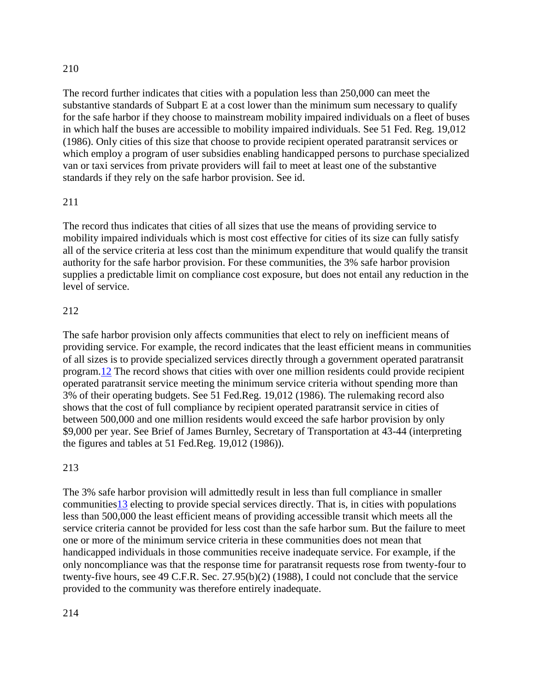The record further indicates that cities with a population less than 250,000 can meet the substantive standards of Subpart E at a cost lower than the minimum sum necessary to qualify for the safe harbor if they choose to mainstream mobility impaired individuals on a fleet of buses in which half the buses are accessible to mobility impaired individuals. See 51 Fed. Reg. 19,012 (1986). Only cities of this size that choose to provide recipient operated paratransit services or which employ a program of user subsidies enabling handicapped persons to purchase specialized van or taxi services from private providers will fail to meet at least one of the substantive standards if they rely on the safe harbor provision. See id.

# 211

The record thus indicates that cities of all sizes that use the means of providing service to mobility impaired individuals which is most cost effective for cities of its size can fully satisfy all of the service criteria at less cost than the minimum expenditure that would qualify the transit authority for the safe harbor provision. For these communities, the 3% safe harbor provision supplies a predictable limit on compliance cost exposure, but does not entail any reduction in the level of service.

## 212

The safe harbor provision only affects communities that elect to rely on inefficient means of providing service. For example, the record indicates that the least efficient means in communities of all sizes is to provide specialized services directly through a government operated paratransit program[.12](http://law.justia.com/cases/federal/appellate-courts/F2/881/1184/93966/#fn12-2) The record shows that cities with over one million residents could provide recipient operated paratransit service meeting the minimum service criteria without spending more than 3% of their operating budgets. See 51 Fed.Reg. 19,012 (1986). The rulemaking record also shows that the cost of full compliance by recipient operated paratransit service in cities of between 500,000 and one million residents would exceed the safe harbor provision by only \$9,000 per year. See Brief of James Burnley, Secretary of Transportation at 43-44 (interpreting the figures and tables at 51 Fed.Reg. 19,012 (1986)).

## 213

The 3% safe harbor provision will admittedly result in less than full compliance in smaller communitie[s13](http://law.justia.com/cases/federal/appellate-courts/F2/881/1184/93966/#fn13-1) electing to provide special services directly. That is, in cities with populations less than 500,000 the least efficient means of providing accessible transit which meets all the service criteria cannot be provided for less cost than the safe harbor sum. But the failure to meet one or more of the minimum service criteria in these communities does not mean that handicapped individuals in those communities receive inadequate service. For example, if the only noncompliance was that the response time for paratransit requests rose from twenty-four to twenty-five hours, see 49 C.F.R. Sec. 27.95(b)(2) (1988), I could not conclude that the service provided to the community was therefore entirely inadequate.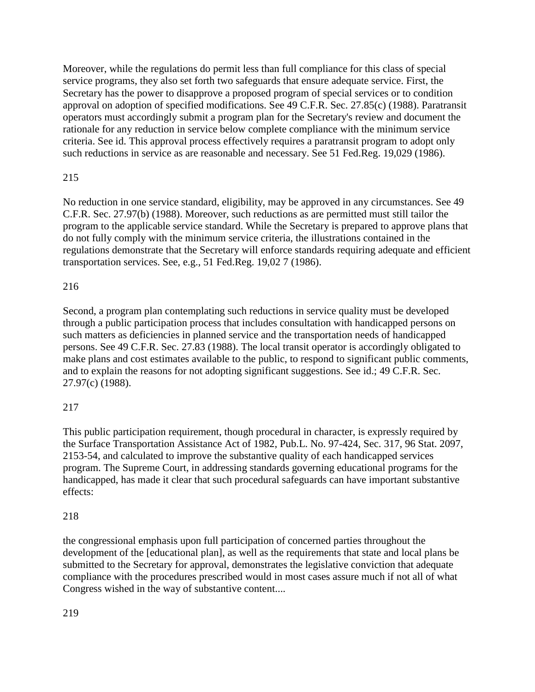Moreover, while the regulations do permit less than full compliance for this class of special service programs, they also set forth two safeguards that ensure adequate service. First, the Secretary has the power to disapprove a proposed program of special services or to condition approval on adoption of specified modifications. See 49 C.F.R. Sec. 27.85(c) (1988). Paratransit operators must accordingly submit a program plan for the Secretary's review and document the rationale for any reduction in service below complete compliance with the minimum service criteria. See id. This approval process effectively requires a paratransit program to adopt only such reductions in service as are reasonable and necessary. See 51 Fed.Reg. 19,029 (1986).

# 215

No reduction in one service standard, eligibility, may be approved in any circumstances. See 49 C.F.R. Sec. 27.97(b) (1988). Moreover, such reductions as are permitted must still tailor the program to the applicable service standard. While the Secretary is prepared to approve plans that do not fully comply with the minimum service criteria, the illustrations contained in the regulations demonstrate that the Secretary will enforce standards requiring adequate and efficient transportation services. See, e.g., 51 Fed.Reg. 19,02 7 (1986).

## 216

Second, a program plan contemplating such reductions in service quality must be developed through a public participation process that includes consultation with handicapped persons on such matters as deficiencies in planned service and the transportation needs of handicapped persons. See 49 C.F.R. Sec. 27.83 (1988). The local transit operator is accordingly obligated to make plans and cost estimates available to the public, to respond to significant public comments, and to explain the reasons for not adopting significant suggestions. See id.; 49 C.F.R. Sec. 27.97(c) (1988).

## 217

This public participation requirement, though procedural in character, is expressly required by the Surface Transportation Assistance Act of 1982, Pub.L. No. 97-424, Sec. 317, 96 Stat. 2097, 2153-54, and calculated to improve the substantive quality of each handicapped services program. The Supreme Court, in addressing standards governing educational programs for the handicapped, has made it clear that such procedural safeguards can have important substantive effects:

## 218

the congressional emphasis upon full participation of concerned parties throughout the development of the [educational plan], as well as the requirements that state and local plans be submitted to the Secretary for approval, demonstrates the legislative conviction that adequate compliance with the procedures prescribed would in most cases assure much if not all of what Congress wished in the way of substantive content....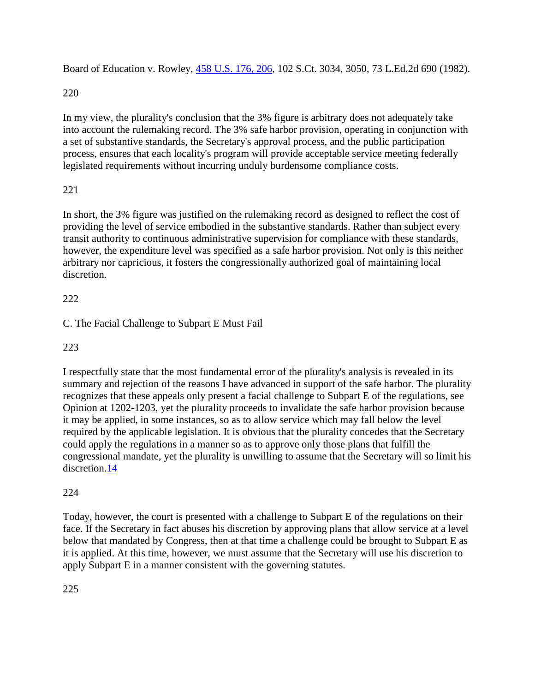Board of Education v. Rowley, [458 U.S. 176, 206,](http://supreme.justia.com/us/458/176/case.html#206) 102 S.Ct. 3034, 3050, 73 L.Ed.2d 690 (1982).

220

In my view, the plurality's conclusion that the 3% figure is arbitrary does not adequately take into account the rulemaking record. The 3% safe harbor provision, operating in conjunction with a set of substantive standards, the Secretary's approval process, and the public participation process, ensures that each locality's program will provide acceptable service meeting federally legislated requirements without incurring unduly burdensome compliance costs.

# 221

In short, the 3% figure was justified on the rulemaking record as designed to reflect the cost of providing the level of service embodied in the substantive standards. Rather than subject every transit authority to continuous administrative supervision for compliance with these standards, however, the expenditure level was specified as a safe harbor provision. Not only is this neither arbitrary nor capricious, it fosters the congressionally authorized goal of maintaining local discretion.

# 222

C. The Facial Challenge to Subpart E Must Fail

223

I respectfully state that the most fundamental error of the plurality's analysis is revealed in its summary and rejection of the reasons I have advanced in support of the safe harbor. The plurality recognizes that these appeals only present a facial challenge to Subpart E of the regulations, see Opinion at 1202-1203, yet the plurality proceeds to invalidate the safe harbor provision because it may be applied, in some instances, so as to allow service which may fall below the level required by the applicable legislation. It is obvious that the plurality concedes that the Secretary could apply the regulations in a manner so as to approve only those plans that fulfill the congressional mandate, yet the plurality is unwilling to assume that the Secretary will so limit his discretion[.14](http://law.justia.com/cases/federal/appellate-courts/F2/881/1184/93966/#fn14-1)

# 224

Today, however, the court is presented with a challenge to Subpart E of the regulations on their face. If the Secretary in fact abuses his discretion by approving plans that allow service at a level below that mandated by Congress, then at that time a challenge could be brought to Subpart E as it is applied. At this time, however, we must assume that the Secretary will use his discretion to apply Subpart E in a manner consistent with the governing statutes.

225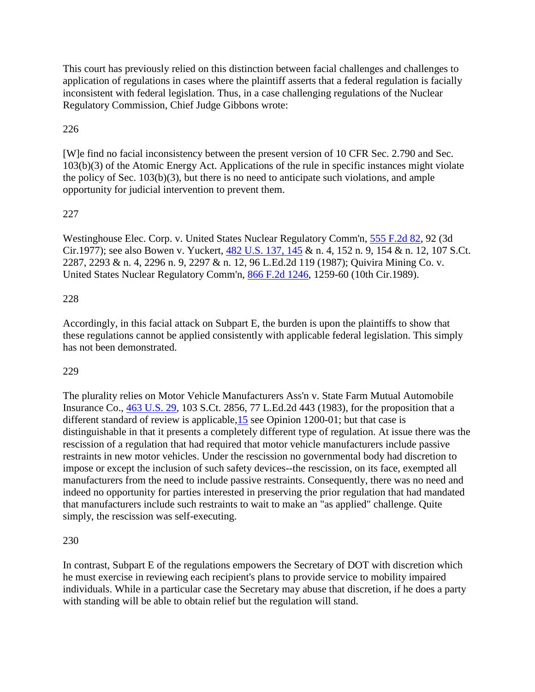This court has previously relied on this distinction between facial challenges and challenges to application of regulations in cases where the plaintiff asserts that a federal regulation is facially inconsistent with federal legislation. Thus, in a case challenging regulations of the Nuclear Regulatory Commission, Chief Judge Gibbons wrote:

# 226

[W]e find no facial inconsistency between the present version of 10 CFR Sec. 2.790 and Sec. 103(b)(3) of the Atomic Energy Act. Applications of the rule in specific instances might violate the policy of Sec. 103(b)(3), but there is no need to anticipate such violations, and ample opportunity for judicial intervention to prevent them.

## 227

Westinghouse Elec. Corp. v. United States Nuclear Regulatory Comm'n, [555 F.2d 82,](http://law.justia.com/cases/federal/appellate-courts/F2/555/82/) 92 (3d Cir.1977); see also Bowen v. Yuckert, [482 U.S. 137, 145](http://supreme.justia.com/us/482/137/case.html#145) & n. 4, 152 n. 9, 154 & n. 12, 107 S.Ct. 2287, 2293 & n. 4, 2296 n. 9, 2297 & n. 12, 96 L.Ed.2d 119 (1987); Quivira Mining Co. v. United States Nuclear Regulatory Comm'n, [866 F.2d 1246,](http://law.justia.com/cases/federal/appellate-courts/F2/866/1246/) 1259-60 (10th Cir.1989).

## 228

Accordingly, in this facial attack on Subpart E, the burden is upon the plaintiffs to show that these regulations cannot be applied consistently with applicable federal legislation. This simply has not been demonstrated.

## 229

The plurality relies on Motor Vehicle Manufacturers Ass'n v. State Farm Mutual Automobile Insurance Co., [463 U.S. 29,](http://supreme.justia.com/us/463/29/) 103 S.Ct. 2856, 77 L.Ed.2d 443 (1983), for the proposition that a different standard of review is applicable, 15 see Opinion 1200-01; but that case is distinguishable in that it presents a completely different type of regulation. At issue there was the rescission of a regulation that had required that motor vehicle manufacturers include passive restraints in new motor vehicles. Under the rescission no governmental body had discretion to impose or except the inclusion of such safety devices--the rescission, on its face, exempted all manufacturers from the need to include passive restraints. Consequently, there was no need and indeed no opportunity for parties interested in preserving the prior regulation that had mandated that manufacturers include such restraints to wait to make an "as applied" challenge. Quite simply, the rescission was self-executing.

## 230

In contrast, Subpart E of the regulations empowers the Secretary of DOT with discretion which he must exercise in reviewing each recipient's plans to provide service to mobility impaired individuals. While in a particular case the Secretary may abuse that discretion, if he does a party with standing will be able to obtain relief but the regulation will stand.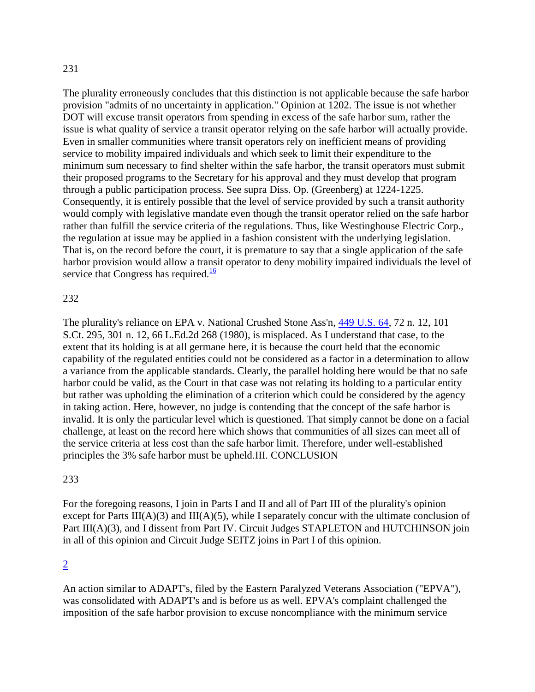The plurality erroneously concludes that this distinction is not applicable because the safe harbor provision "admits of no uncertainty in application." Opinion at 1202. The issue is not whether DOT will excuse transit operators from spending in excess of the safe harbor sum, rather the issue is what quality of service a transit operator relying on the safe harbor will actually provide. Even in smaller communities where transit operators rely on inefficient means of providing service to mobility impaired individuals and which seek to limit their expenditure to the minimum sum necessary to find shelter within the safe harbor, the transit operators must submit their proposed programs to the Secretary for his approval and they must develop that program through a public participation process. See supra Diss. Op. (Greenberg) at 1224-1225. Consequently, it is entirely possible that the level of service provided by such a transit authority would comply with legislative mandate even though the transit operator relied on the safe harbor rather than fulfill the service criteria of the regulations. Thus, like Westinghouse Electric Corp., the regulation at issue may be applied in a fashion consistent with the underlying legislation. That is, on the record before the court, it is premature to say that a single application of the safe harbor provision would allow a transit operator to deny mobility impaired individuals the level of service that Congress has required. $\frac{16}{16}$  $\frac{16}{16}$  $\frac{16}{16}$ 

#### 232

The plurality's reliance on EPA v. National Crushed Stone Ass'n, [449 U.S. 64,](http://supreme.justia.com/us/449/64/) 72 n. 12, 101 S.Ct. 295, 301 n. 12, 66 L.Ed.2d 268 (1980), is misplaced. As I understand that case, to the extent that its holding is at all germane here, it is because the court held that the economic capability of the regulated entities could not be considered as a factor in a determination to allow a variance from the applicable standards. Clearly, the parallel holding here would be that no safe harbor could be valid, as the Court in that case was not relating its holding to a particular entity but rather was upholding the elimination of a criterion which could be considered by the agency in taking action. Here, however, no judge is contending that the concept of the safe harbor is invalid. It is only the particular level which is questioned. That simply cannot be done on a facial challenge, at least on the record here which shows that communities of all sizes can meet all of the service criteria at less cost than the safe harbor limit. Therefore, under well-established principles the 3% safe harbor must be upheld.III. CONCLUSION

#### 233

For the foregoing reasons, I join in Parts I and II and all of Part III of the plurality's opinion except for Parts III(A)(3) and III(A)(5), while I separately concur with the ultimate conclusion of Part III(A)(3), and I dissent from Part IV. Circuit Judges STAPLETON and HUTCHINSON join in all of this opinion and Circuit Judge SEITZ joins in Part I of this opinion.

#### [2](http://law.justia.com/cases/federal/appellate-courts/F2/881/1184/93966/#fnref2)

An action similar to ADAPT's, filed by the Eastern Paralyzed Veterans Association ("EPVA"), was consolidated with ADAPT's and is before us as well. EPVA's complaint challenged the imposition of the safe harbor provision to excuse noncompliance with the minimum service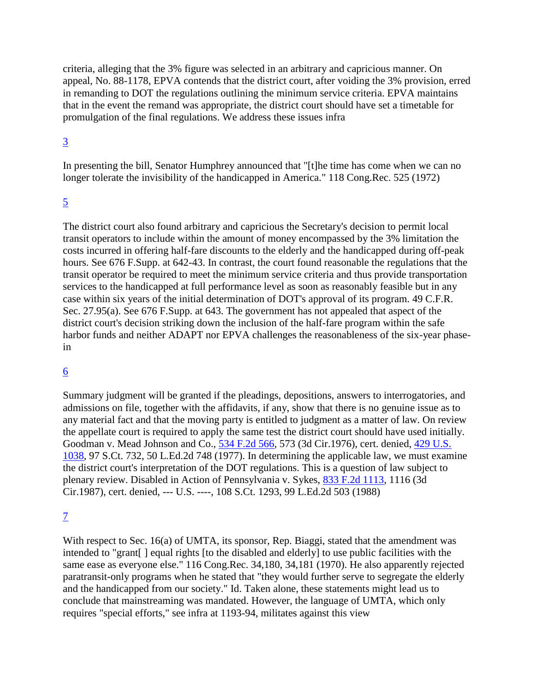criteria, alleging that the 3% figure was selected in an arbitrary and capricious manner. On appeal, No. 88-1178, EPVA contends that the district court, after voiding the 3% provision, erred in remanding to DOT the regulations outlining the minimum service criteria. EPVA maintains that in the event the remand was appropriate, the district court should have set a timetable for promulgation of the final regulations. We address these issues infra

### [3](http://law.justia.com/cases/federal/appellate-courts/F2/881/1184/93966/#fnref3)

In presenting the bill, Senator Humphrey announced that "[t]he time has come when we can no longer tolerate the invisibility of the handicapped in America." 118 Cong.Rec. 525 (1972)

## [5](http://law.justia.com/cases/federal/appellate-courts/F2/881/1184/93966/#fnref5)

The district court also found arbitrary and capricious the Secretary's decision to permit local transit operators to include within the amount of money encompassed by the 3% limitation the costs incurred in offering half-fare discounts to the elderly and the handicapped during off-peak hours. See 676 F.Supp. at 642-43. In contrast, the court found reasonable the regulations that the transit operator be required to meet the minimum service criteria and thus provide transportation services to the handicapped at full performance level as soon as reasonably feasible but in any case within six years of the initial determination of DOT's approval of its program. 49 C.F.R. Sec. 27.95(a). See 676 F.Supp. at 643. The government has not appealed that aspect of the district court's decision striking down the inclusion of the half-fare program within the safe harbor funds and neither ADAPT nor EPVA challenges the reasonableness of the six-year phasein

## [6](http://law.justia.com/cases/federal/appellate-courts/F2/881/1184/93966/#fnref6)

Summary judgment will be granted if the pleadings, depositions, answers to interrogatories, and admissions on file, together with the affidavits, if any, show that there is no genuine issue as to any material fact and that the moving party is entitled to judgment as a matter of law. On review the appellate court is required to apply the same test the district court should have used initially. Goodman v. Mead Johnson and Co., [534 F.2d 566,](http://law.justia.com/cases/federal/appellate-courts/F2/534/566/) 573 (3d Cir.1976), cert. denied, [429 U.S.](http://supreme.justia.com/us/429/1038/)  [1038,](http://supreme.justia.com/us/429/1038/) 97 S.Ct. 732, 50 L.Ed.2d 748 (1977). In determining the applicable law, we must examine the district court's interpretation of the DOT regulations. This is a question of law subject to plenary review. Disabled in Action of Pennsylvania v. Sykes, [833 F.2d 1113,](http://law.justia.com/cases/federal/appellate-courts/F2/833/1113/) 1116 (3d Cir.1987), cert. denied, --- U.S. ----, 108 S.Ct. 1293, 99 L.Ed.2d 503 (1988)

## [7](http://law.justia.com/cases/federal/appellate-courts/F2/881/1184/93966/#fnref7)

With respect to Sec. 16(a) of UMTA, its sponsor, Rep. Biaggi, stated that the amendment was intended to "grant[ ] equal rights [to the disabled and elderly] to use public facilities with the same ease as everyone else." 116 Cong.Rec. 34,180, 34,181 (1970). He also apparently rejected paratransit-only programs when he stated that "they would further serve to segregate the elderly and the handicapped from our society." Id. Taken alone, these statements might lead us to conclude that mainstreaming was mandated. However, the language of UMTA, which only requires "special efforts," see infra at 1193-94, militates against this view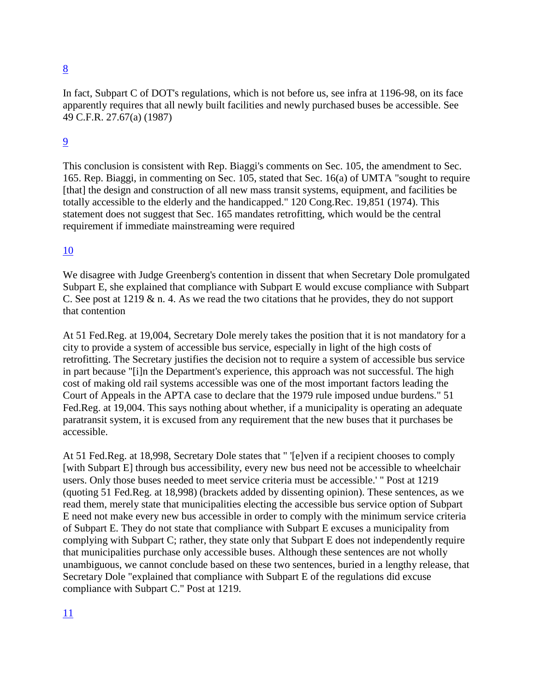In fact, Subpart C of DOT's regulations, which is not before us, see infra at 1196-98, on its face apparently requires that all newly built facilities and newly purchased buses be accessible. See 49 C.F.R. 27.67(a) (1987)

# [9](http://law.justia.com/cases/federal/appellate-courts/F2/881/1184/93966/#fnref9)

This conclusion is consistent with Rep. Biaggi's comments on Sec. 105, the amendment to Sec. 165. Rep. Biaggi, in commenting on Sec. 105, stated that Sec. 16(a) of UMTA "sought to require [that] the design and construction of all new mass transit systems, equipment, and facilities be totally accessible to the elderly and the handicapped." 120 Cong.Rec. 19,851 (1974). This statement does not suggest that Sec. 165 mandates retrofitting, which would be the central requirement if immediate mainstreaming were required

# [10](http://law.justia.com/cases/federal/appellate-courts/F2/881/1184/93966/#fnref10)

We disagree with Judge Greenberg's contention in dissent that when Secretary Dole promulgated Subpart E, she explained that compliance with Subpart E would excuse compliance with Subpart C. See post at 1219 & n. 4. As we read the two citations that he provides, they do not support that contention

At 51 Fed.Reg. at 19,004, Secretary Dole merely takes the position that it is not mandatory for a city to provide a system of accessible bus service, especially in light of the high costs of retrofitting. The Secretary justifies the decision not to require a system of accessible bus service in part because "[i]n the Department's experience, this approach was not successful. The high cost of making old rail systems accessible was one of the most important factors leading the Court of Appeals in the APTA case to declare that the 1979 rule imposed undue burdens." 51 Fed.Reg. at 19,004. This says nothing about whether, if a municipality is operating an adequate paratransit system, it is excused from any requirement that the new buses that it purchases be accessible.

At 51 Fed.Reg. at 18,998, Secretary Dole states that " '[e]ven if a recipient chooses to comply [with Subpart E] through bus accessibility, every new bus need not be accessible to wheelchair users. Only those buses needed to meet service criteria must be accessible.' " Post at 1219 (quoting 51 Fed.Reg. at 18,998) (brackets added by dissenting opinion). These sentences, as we read them, merely state that municipalities electing the accessible bus service option of Subpart E need not make every new bus accessible in order to comply with the minimum service criteria of Subpart E. They do not state that compliance with Subpart E excuses a municipality from complying with Subpart C; rather, they state only that Subpart E does not independently require that municipalities purchase only accessible buses. Although these sentences are not wholly unambiguous, we cannot conclude based on these two sentences, buried in a lengthy release, that Secretary Dole "explained that compliance with Subpart E of the regulations did excuse compliance with Subpart C." Post at 1219.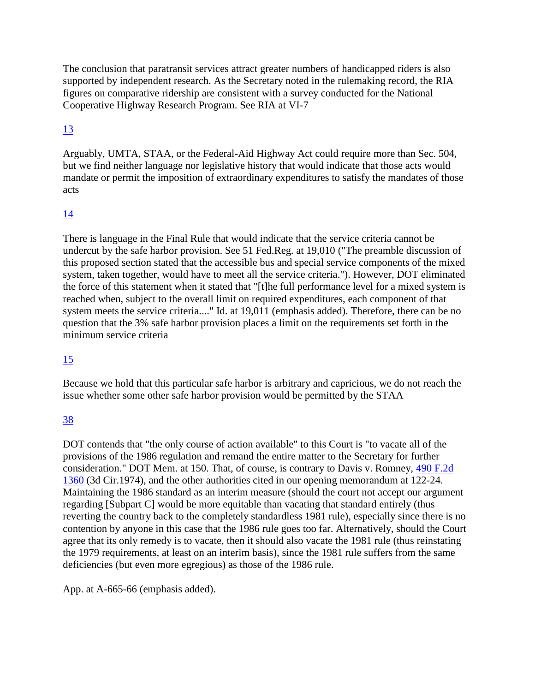The conclusion that paratransit services attract greater numbers of handicapped riders is also supported by independent research. As the Secretary noted in the rulemaking record, the RIA figures on comparative ridership are consistent with a survey conducted for the National Cooperative Highway Research Program. See RIA at VI-7

# [13](http://law.justia.com/cases/federal/appellate-courts/F2/881/1184/93966/#fnref13)

Arguably, UMTA, STAA, or the Federal-Aid Highway Act could require more than Sec. 504, but we find neither language nor legislative history that would indicate that those acts would mandate or permit the imposition of extraordinary expenditures to satisfy the mandates of those acts

# [14](http://law.justia.com/cases/federal/appellate-courts/F2/881/1184/93966/#fnref14)

There is language in the Final Rule that would indicate that the service criteria cannot be undercut by the safe harbor provision. See 51 Fed.Reg. at 19,010 ("The preamble discussion of this proposed section stated that the accessible bus and special service components of the mixed system, taken together, would have to meet all the service criteria."). However, DOT eliminated the force of this statement when it stated that "[t]he full performance level for a mixed system is reached when, subject to the overall limit on required expenditures, each component of that system meets the service criteria...." Id. at 19,011 (emphasis added). Therefore, there can be no question that the 3% safe harbor provision places a limit on the requirements set forth in the minimum service criteria

# [15](http://law.justia.com/cases/federal/appellate-courts/F2/881/1184/93966/#fnref15)

Because we hold that this particular safe harbor is arbitrary and capricious, we do not reach the issue whether some other safe harbor provision would be permitted by the STAA

# [38](http://law.justia.com/cases/federal/appellate-courts/F2/881/1184/93966/#fnref38)

DOT contends that "the only course of action available" to this Court is "to vacate all of the provisions of the 1986 regulation and remand the entire matter to the Secretary for further consideration." DOT Mem. at 150. That, of course, is contrary to Davis v. Romney, [490 F.2d](http://law.justia.com/cases/federal/appellate-courts/F2/490/1360/)  [1360](http://law.justia.com/cases/federal/appellate-courts/F2/490/1360/) (3d Cir.1974), and the other authorities cited in our opening memorandum at 122-24. Maintaining the 1986 standard as an interim measure (should the court not accept our argument regarding [Subpart C] would be more equitable than vacating that standard entirely (thus reverting the country back to the completely standardless 1981 rule), especially since there is no contention by anyone in this case that the 1986 rule goes too far. Alternatively, should the Court agree that its only remedy is to vacate, then it should also vacate the 1981 rule (thus reinstating the 1979 requirements, at least on an interim basis), since the 1981 rule suffers from the same deficiencies (but even more egregious) as those of the 1986 rule.

App. at A-665-66 (emphasis added).